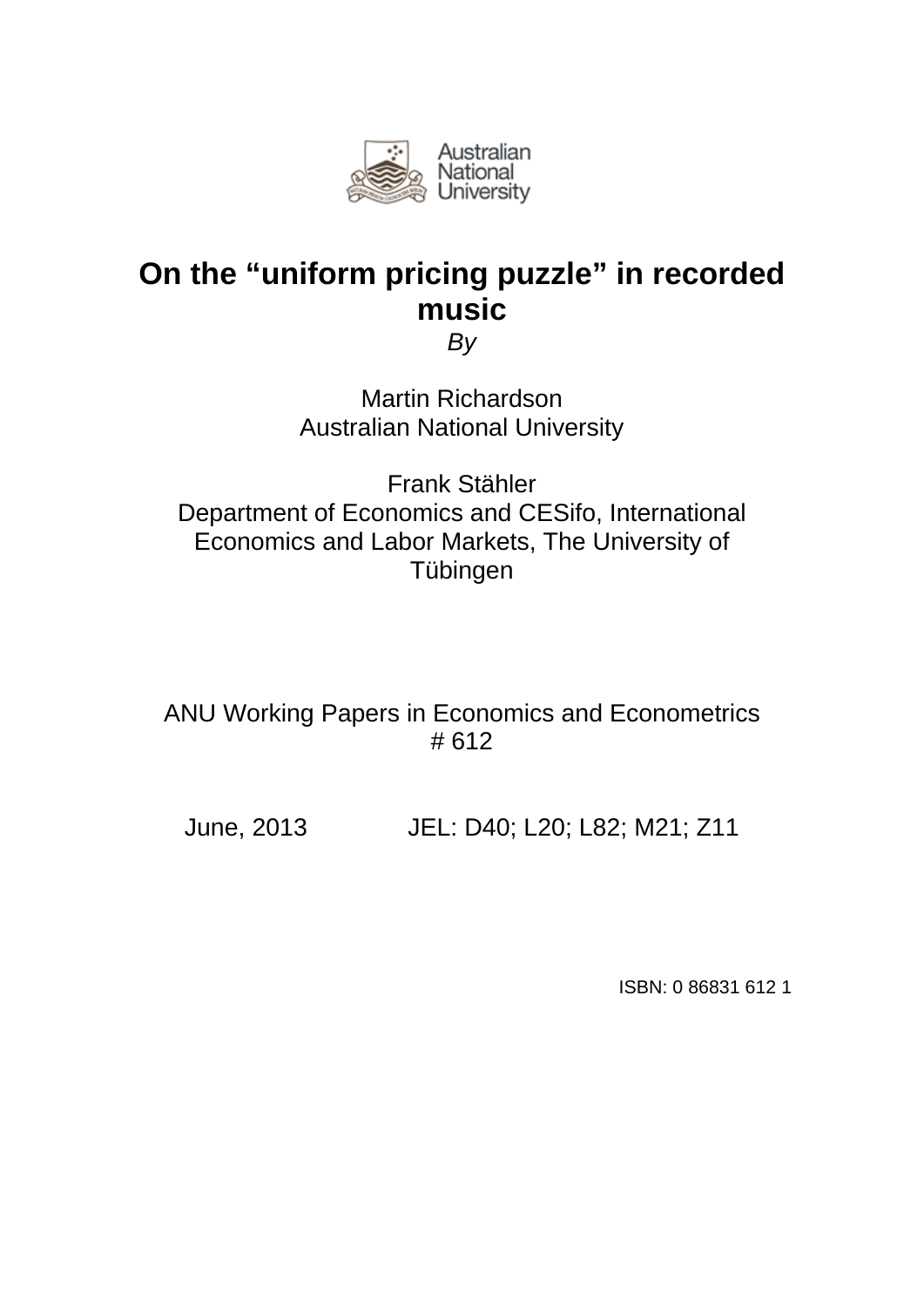

# **On the "uniform pricing puzzle" in recorded music**

*By* 

Martin Richardson Australian National University

Frank Stähler Department of Economics and CESifo, International Economics and Labor Markets, The University of Tübingen

ANU Working Papers in Economics and Econometrics # 612

June, 2013 JEL: D40; L20; L82; M21; Z11

ISBN: 0 86831 612 1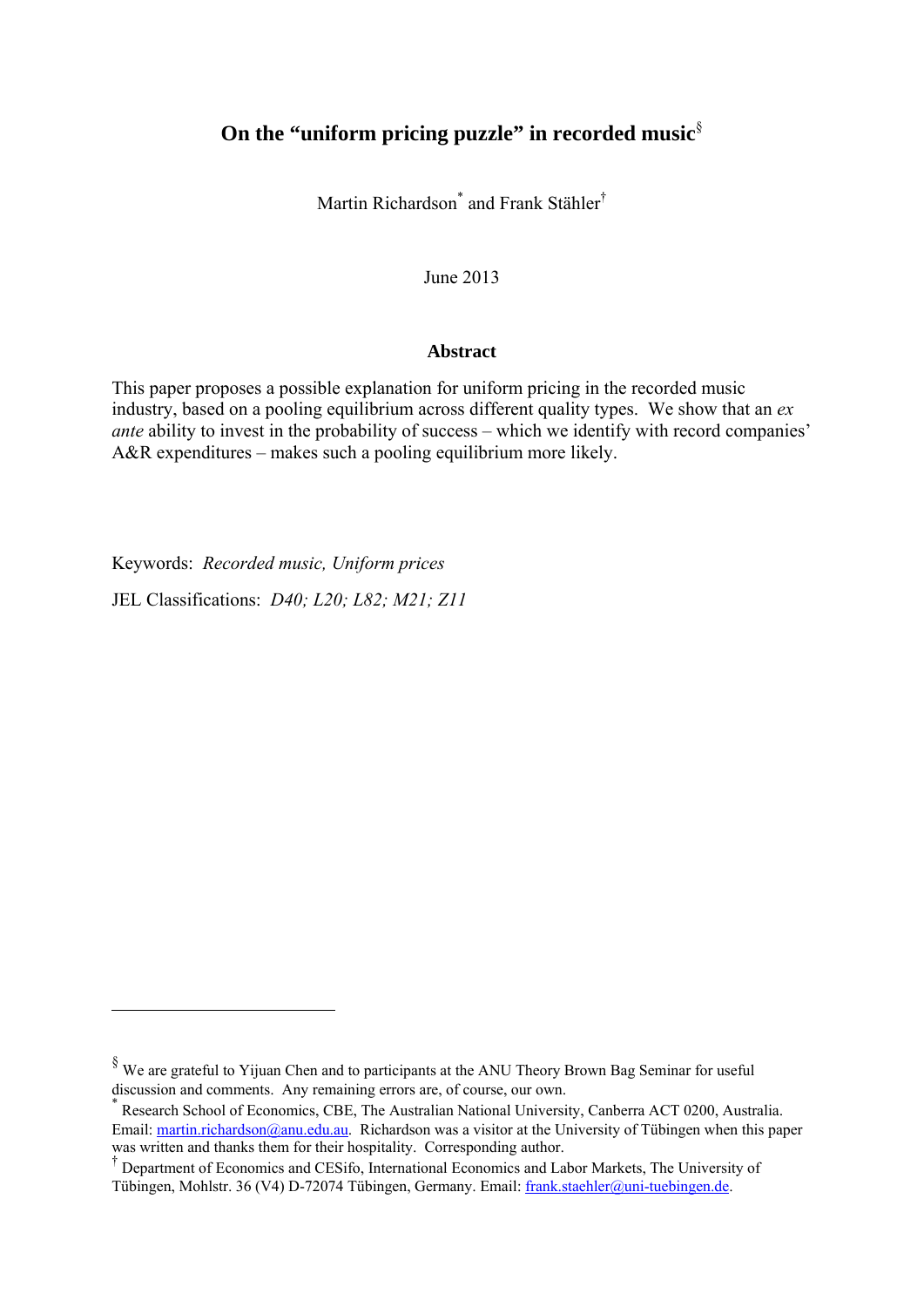## **On the "uniform pricing puzzle" in recorded music**§

Martin Richardson<sup>\*</sup> and Frank Stähler<sup>†</sup>

June 2013

### **Abstract**

This paper proposes a possible explanation for uniform pricing in the recorded music industry, based on a pooling equilibrium across different quality types. We show that an *ex ante* ability to invest in the probability of success – which we identify with record companies' A&R expenditures – makes such a pooling equilibrium more likely.

Keywords: *Recorded music, Uniform prices*

1

JEL Classifications: *D40; L20; L82; M21; Z11*

<sup>§</sup> We are grateful to Yijuan Chen and to participants at the ANU Theory Brown Bag Seminar for useful discussion and comments. Any remaining errors are, of course, our own.<br>
<sup>\*</sup> Personal School of Fernanics. CDE. The Australian Mational University

Research School of Economics, CBE, The Australian National University, Canberra ACT 0200, Australia. Email: martin.richardson@anu.edu.au. Richardson was a visitor at the University of Tübingen when this paper was written and thanks them for their hospitality. Corresponding author.

<sup>†</sup> Department of Economics and CESifo, International Economics and Labor Markets, The University of Tübingen, Mohlstr. 36 (V4) D-72074 Tübingen, Germany. Email: frank.staehler@uni-tuebingen.de.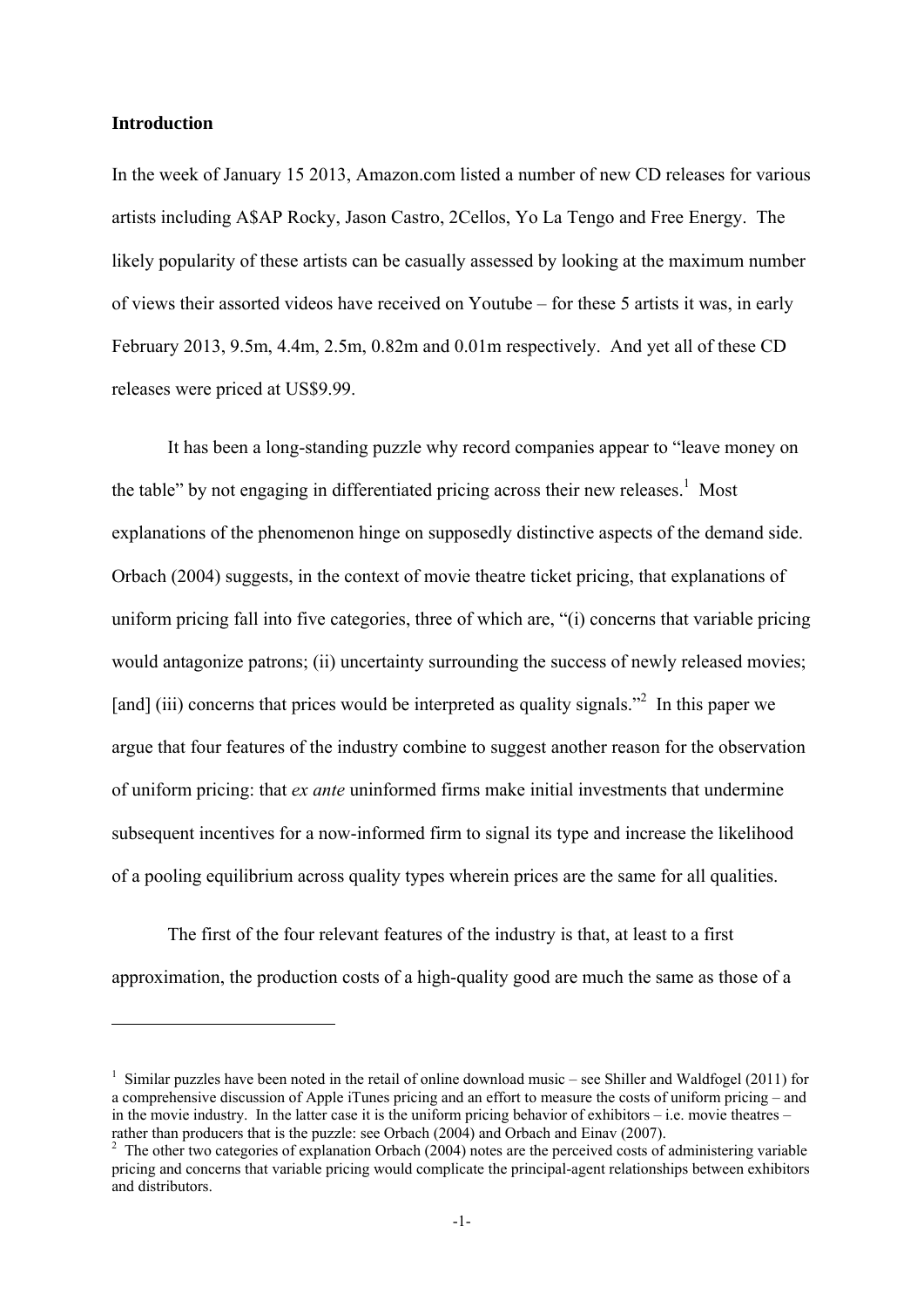### **Introduction**

1

In the week of January 15 2013, Amazon.com listed a number of new CD releases for various artists including A\$AP Rocky, Jason Castro, 2Cellos, Yo La Tengo and Free Energy. The likely popularity of these artists can be casually assessed by looking at the maximum number of views their assorted videos have received on Youtube – for these 5 artists it was, in early February 2013, 9.5m, 4.4m, 2.5m, 0.82m and 0.01m respectively. And yet all of these CD releases were priced at US\$9.99.

It has been a long-standing puzzle why record companies appear to "leave money on the table" by not engaging in differentiated pricing across their new releases.<sup>1</sup> Most explanations of the phenomenon hinge on supposedly distinctive aspects of the demand side. Orbach (2004) suggests, in the context of movie theatre ticket pricing, that explanations of uniform pricing fall into five categories, three of which are, "(i) concerns that variable pricing would antagonize patrons; (ii) uncertainty surrounding the success of newly released movies; [and] (iii) concerns that prices would be interpreted as quality signals.<sup>32</sup> In this paper we argue that four features of the industry combine to suggest another reason for the observation of uniform pricing: that *ex ante* uninformed firms make initial investments that undermine subsequent incentives for a now-informed firm to signal its type and increase the likelihood of a pooling equilibrium across quality types wherein prices are the same for all qualities.

The first of the four relevant features of the industry is that, at least to a first approximation, the production costs of a high-quality good are much the same as those of a

<sup>&</sup>lt;sup>1</sup> Similar puzzles have been noted in the retail of online download music – see Shiller and Waldfogel (2011) for a comprehensive discussion of Apple iTunes pricing and an effort to measure the costs of uniform pricing – and in the movie industry. In the latter case it is the uniform pricing behavior of exhibitors – i.e. movie theatres – rather than producers that is the puzzle: see Orbach (2004) and Orbach and Einav (2007). 2

 $2\degree$  The other two categories of explanation Orbach (2004) notes are the perceived costs of administering variable pricing and concerns that variable pricing would complicate the principal-agent relationships between exhibitors and distributors.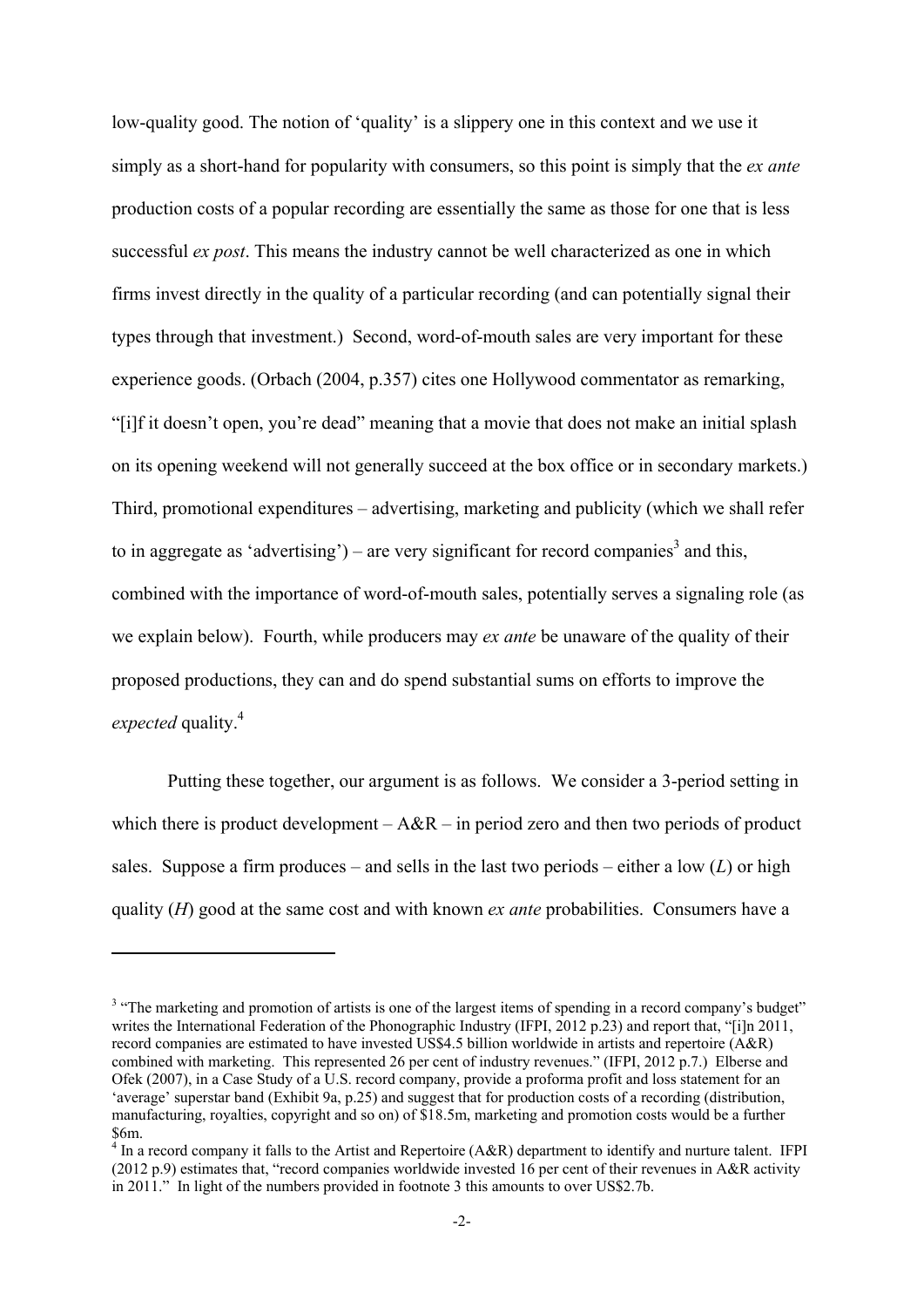low-quality good. The notion of 'quality' is a slippery one in this context and we use it simply as a short-hand for popularity with consumers, so this point is simply that the *ex ante*  production costs of a popular recording are essentially the same as those for one that is less successful *ex post*. This means the industry cannot be well characterized as one in which firms invest directly in the quality of a particular recording (and can potentially signal their types through that investment.) Second, word-of-mouth sales are very important for these experience goods. (Orbach (2004, p.357) cites one Hollywood commentator as remarking, "[i]f it doesn't open, you're dead" meaning that a movie that does not make an initial splash on its opening weekend will not generally succeed at the box office or in secondary markets.) Third, promotional expenditures – advertising, marketing and publicity (which we shall refer to in aggregate as 'advertising') – are very significant for record companies<sup>3</sup> and this, combined with the importance of word-of-mouth sales, potentially serves a signaling role (as we explain below). Fourth, while producers may *ex ante* be unaware of the quality of their proposed productions, they can and do spend substantial sums on efforts to improve the *expected* quality.<sup>4</sup>

Putting these together, our argument is as follows. We consider a 3-period setting in which there is product development –  $A\&R$  – in period zero and then two periods of product sales. Suppose a firm produces – and sells in the last two periods – either a low  $(L)$  or high quality (*H*) good at the same cost and with known *ex ante* probabilities. Consumers have a

1

<sup>&</sup>lt;sup>3</sup> "The marketing and promotion of artists is one of the largest items of spending in a record company's budget" writes the International Federation of the Phonographic Industry (IFPI, 2012 p.23) and report that, "[i]n 2011, record companies are estimated to have invested US\$4.5 billion worldwide in artists and repertoire (A&R) combined with marketing. This represented 26 per cent of industry revenues." (IFPI, 2012 p.7.) Elberse and Ofek (2007), in a Case Study of a U.S. record company, provide a proforma profit and loss statement for an 'average' superstar band (Exhibit 9a, p.25) and suggest that for production costs of a recording (distribution, manufacturing, royalties, copyright and so on) of \$18.5m, marketing and promotion costs would be a further \$6m.

 $4$  In a record company it falls to the Artist and Repertoire (A&R) department to identify and nurture talent. IFPI (2012 p.9) estimates that, "record companies worldwide invested 16 per cent of their revenues in A&R activity in 2011." In light of the numbers provided in footnote 3 this amounts to over US\$2.7b.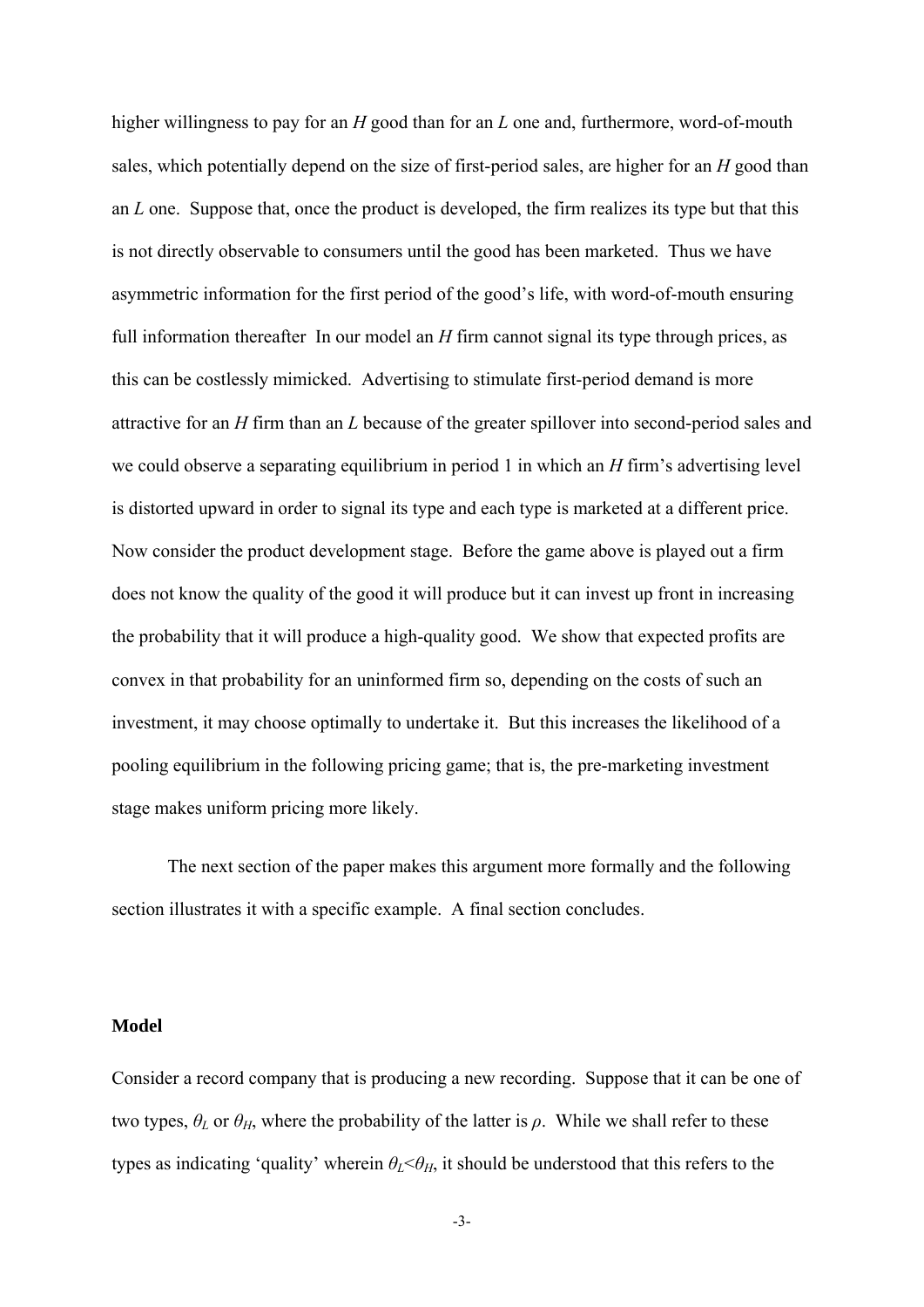higher willingness to pay for an *H* good than for an *L* one and, furthermore, word-of-mouth sales, which potentially depend on the size of first-period sales, are higher for an *H* good than an *L* one. Suppose that, once the product is developed, the firm realizes its type but that this is not directly observable to consumers until the good has been marketed. Thus we have asymmetric information for the first period of the good's life, with word-of-mouth ensuring full information thereafter In our model an *H* firm cannot signal its type through prices, as this can be costlessly mimicked. Advertising to stimulate first-period demand is more attractive for an *H* firm than an *L* because of the greater spillover into second-period sales and we could observe a separating equilibrium in period 1 in which an *H* firm's advertising level is distorted upward in order to signal its type and each type is marketed at a different price. Now consider the product development stage. Before the game above is played out a firm does not know the quality of the good it will produce but it can invest up front in increasing the probability that it will produce a high-quality good. We show that expected profits are convex in that probability for an uninformed firm so, depending on the costs of such an investment, it may choose optimally to undertake it. But this increases the likelihood of a pooling equilibrium in the following pricing game; that is, the pre-marketing investment stage makes uniform pricing more likely.

The next section of the paper makes this argument more formally and the following section illustrates it with a specific example. A final section concludes.

#### **Model**

Consider a record company that is producing a new recording. Suppose that it can be one of two types,  $\theta_L$  or  $\theta_H$ , where the probability of the latter is  $\rho$ . While we shall refer to these types as indicating 'quality' wherein  $\theta_L < \theta_H$ , it should be understood that this refers to the

-3-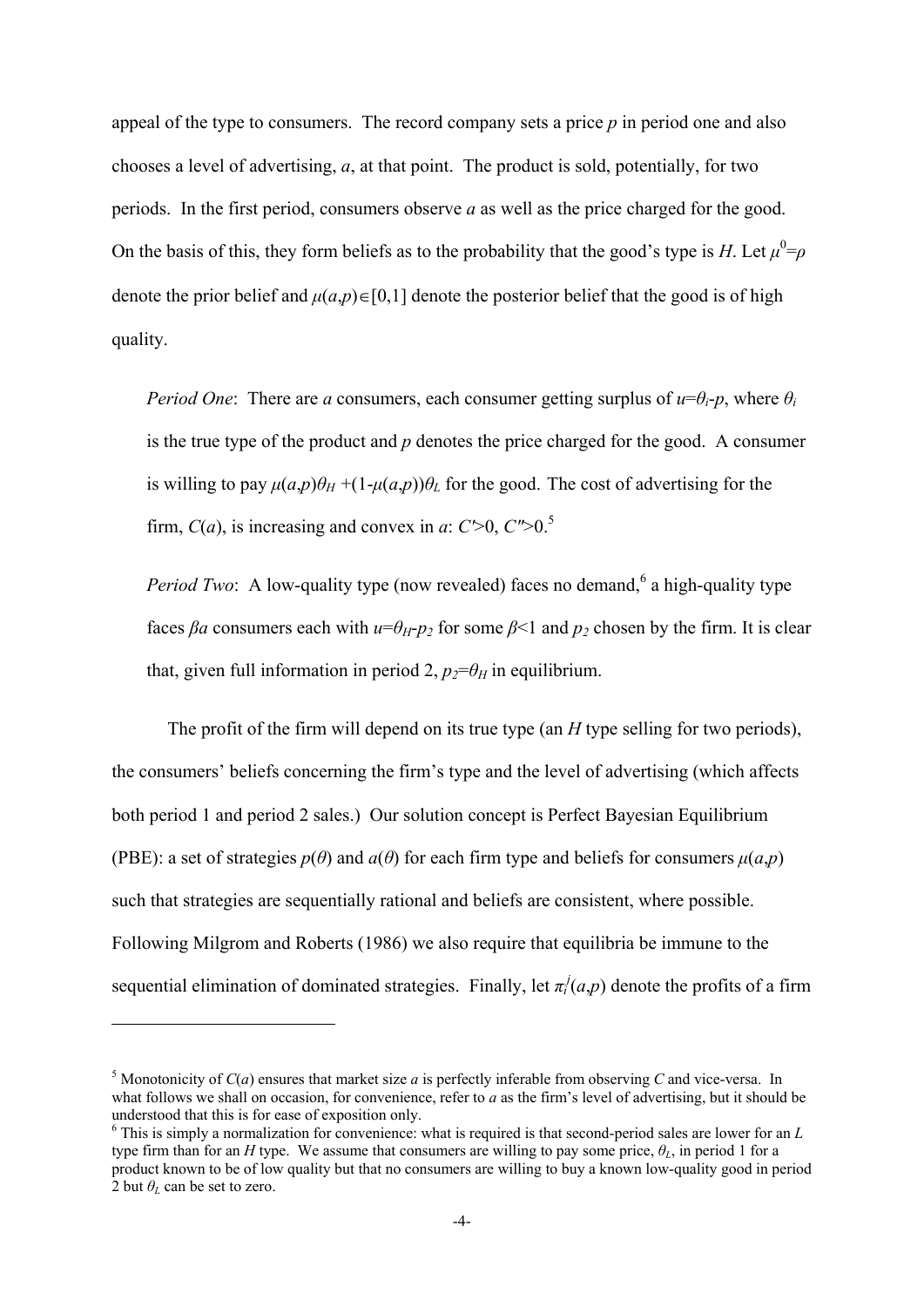appeal of the type to consumers. The record company sets a price *p* in period one and also chooses a level of advertising, *a*, at that point. The product is sold, potentially, for two periods. In the first period, consumers observe *a* as well as the price charged for the good. On the basis of this, they form beliefs as to the probability that the good's type is *H*. Let  $\mu^0 = \rho$ denote the prior belief and  $\mu(a,p) \in [0,1]$  denote the posterior belief that the good is of high quality.

*Period One*: There are *a* consumers, each consumer getting surplus of  $u=\theta_i$ -*p*, where  $\theta_i$ is the true type of the product and *p* denotes the price charged for the good. A consumer is willing to pay  $\mu(a,p)\theta_H + (1-\mu(a,p))\theta_L$  for the good. The cost of advertising for the firm,  $C(a)$ , is increasing and convex in *a*:  $C$   $>$  0,  $C$   $>$  0.<sup>5</sup>

*Period Two*: A low-quality type (now revealed) faces no demand,<sup>6</sup> a high-quality type faces  $\beta a$  consumers each with  $u=\theta_H-p_2$  for some  $\beta<1$  and  $p_2$  chosen by the firm. It is clear that, given full information in period 2,  $p_2 = \theta_H$  in equilibrium.

The profit of the firm will depend on its true type (an *H* type selling for two periods), the consumers' beliefs concerning the firm's type and the level of advertising (which affects both period 1 and period 2 sales.) Our solution concept is Perfect Bayesian Equilibrium (PBE): a set of strategies  $p(\theta)$  and  $q(\theta)$  for each firm type and beliefs for consumers  $u(a,p)$ such that strategies are sequentially rational and beliefs are consistent, where possible. Following Milgrom and Roberts (1986) we also require that equilibria be immune to the sequential elimination of dominated strategies. Finally, let  $\pi_i^j(a,p)$  denote the profits of a firm

1

<sup>&</sup>lt;sup>5</sup> Monotonicity of  $C(a)$  ensures that market size  $a$  is perfectly inferable from observing  $C$  and vice-versa. In what follows we shall on occasion, for convenience, refer to *a* as the firm's level of advertising, but it should be understood that this is for ease of exposition only.

<sup>6</sup> This is simply a normalization for convenience: what is required is that second-period sales are lower for an *L* type firm than for an *H* type. We assume that consumers are willing to pay some price,  $\theta$ *l*, in period 1 for a product known to be of low quality but that no consumers are willing to buy a known low-quality good in period 2 but  $\theta_L$  can be set to zero.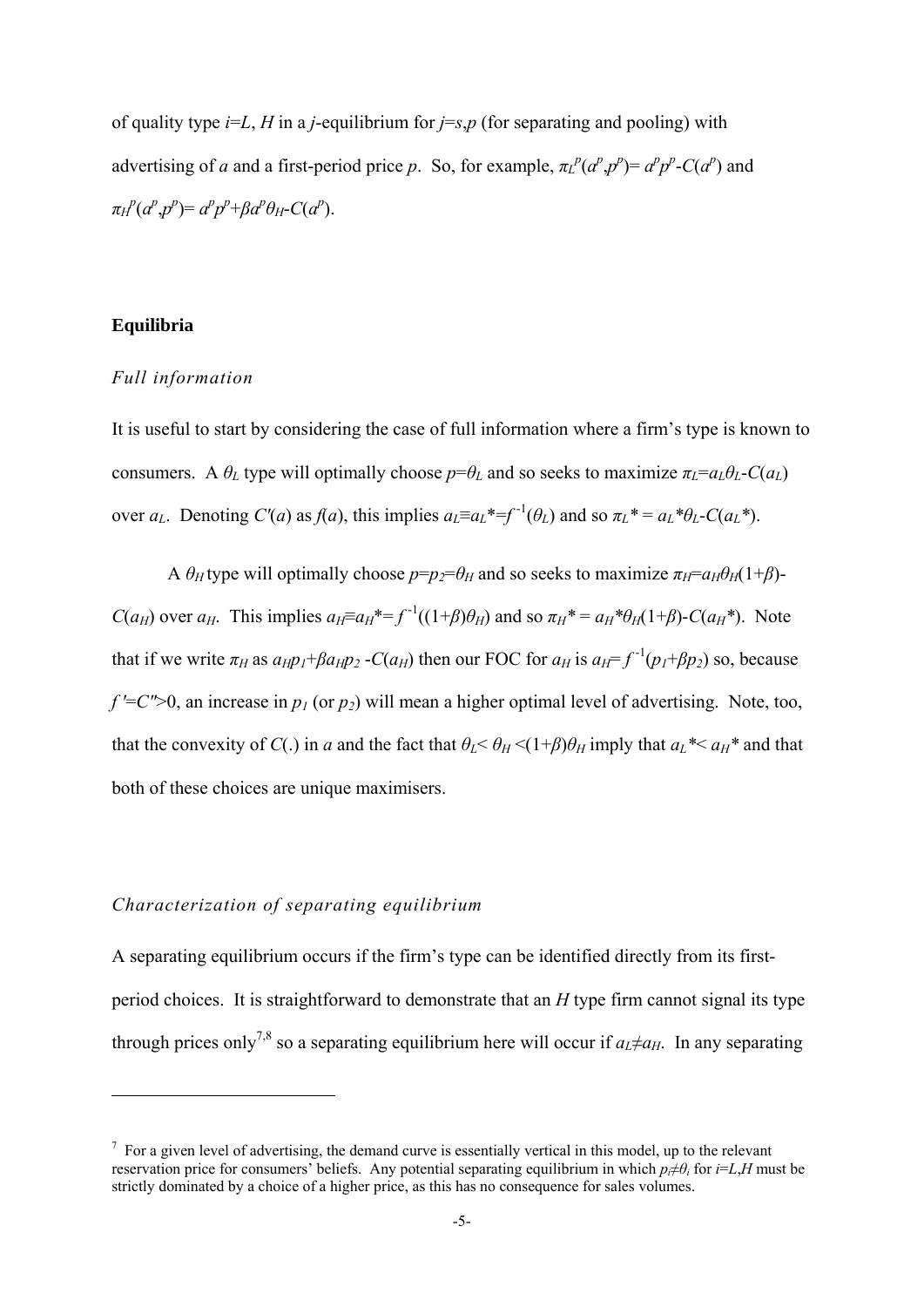of quality type *i*=*L*, *H* in a *j*-equilibrium for *j*=*s*,*p* (for separating and pooling) with advertising of *a* and a first-period price *p*. So, for example,  $\pi_L^p(a^p, p^p) = a^p p^p - C(a^p)$  and  $\pi$ <sup>*H*</sup><sup>*p*</sup>(*a<sup><i>p*</sup>,*p<sup>p</sup>*)=*a<sup>p</sup>p<sup>p</sup>*+*βa<sup>p</sup>θH*-*C*(*a<sup>p</sup>*).

## **Equilibria**

<u>.</u>

## *Full information*

It is useful to start by considering the case of full information where a firm's type is known to consumers. A  $\theta_L$  type will optimally choose  $p = \theta_L$  and so seeks to maximize  $\pi_L = a_L \theta_L - C(a_L)$ over  $a_L$ . Denoting  $C'(a)$  as  $f(a)$ , this implies  $a_L \equiv a_L^* = f^{-1}(\theta_L)$  and so  $\pi_L^* = a_L^* \theta_L - C(a_L^*)$ .

A  $\theta_H$  type will optimally choose  $p = p_2 = \theta_H$  and so seeks to maximize  $\pi_H = a_H \theta_H (1 + \beta)$ -*C*(*a<sub>H</sub>*) over *a<sub>H</sub>*. This implies  $a_H \equiv a_H^* = f^{-1}((1+\beta)\theta_H)$  and so  $\pi_H^* = a_H^*\theta_H(1+\beta)$ -*C*( $a_H^*$ ). Note that if we write  $\pi_H$  as  $a_H p_I + \beta a_H p_2$  -*C*( $a_H$ ) then our FOC for  $a_H$  is  $a_H = f^{-1}(p_I + \beta p_2)$  so, because  $f' = C'' > 0$ , an increase in  $p_1$  (or  $p_2$ ) will mean a higher optimal level of advertising. Note, too, that the convexity of *C*(.) in *a* and the fact that  $\theta_L < \theta_H < (1+\beta)\theta_H$  imply that  $a_L^* < a_H^*$  and that both of these choices are unique maximisers.

## *Characterization of separating equilibrium*

A separating equilibrium occurs if the firm's type can be identified directly from its firstperiod choices. It is straightforward to demonstrate that an *H* type firm cannot signal its type through prices only<sup>7,8</sup> so a separating equilibrium here will occur if  $a_L \neq a_H$ . In any separating

 $<sup>7</sup>$  For a given level of advertising, the demand curve is essentially vertical in this model, up to the relevant</sup> reservation price for consumers' beliefs. Any potential separating equilibrium in which  $p \neq \theta$ , for  $i=L$ , *H* must be strictly dominated by a choice of a higher price, as this has no consequence for sales volumes.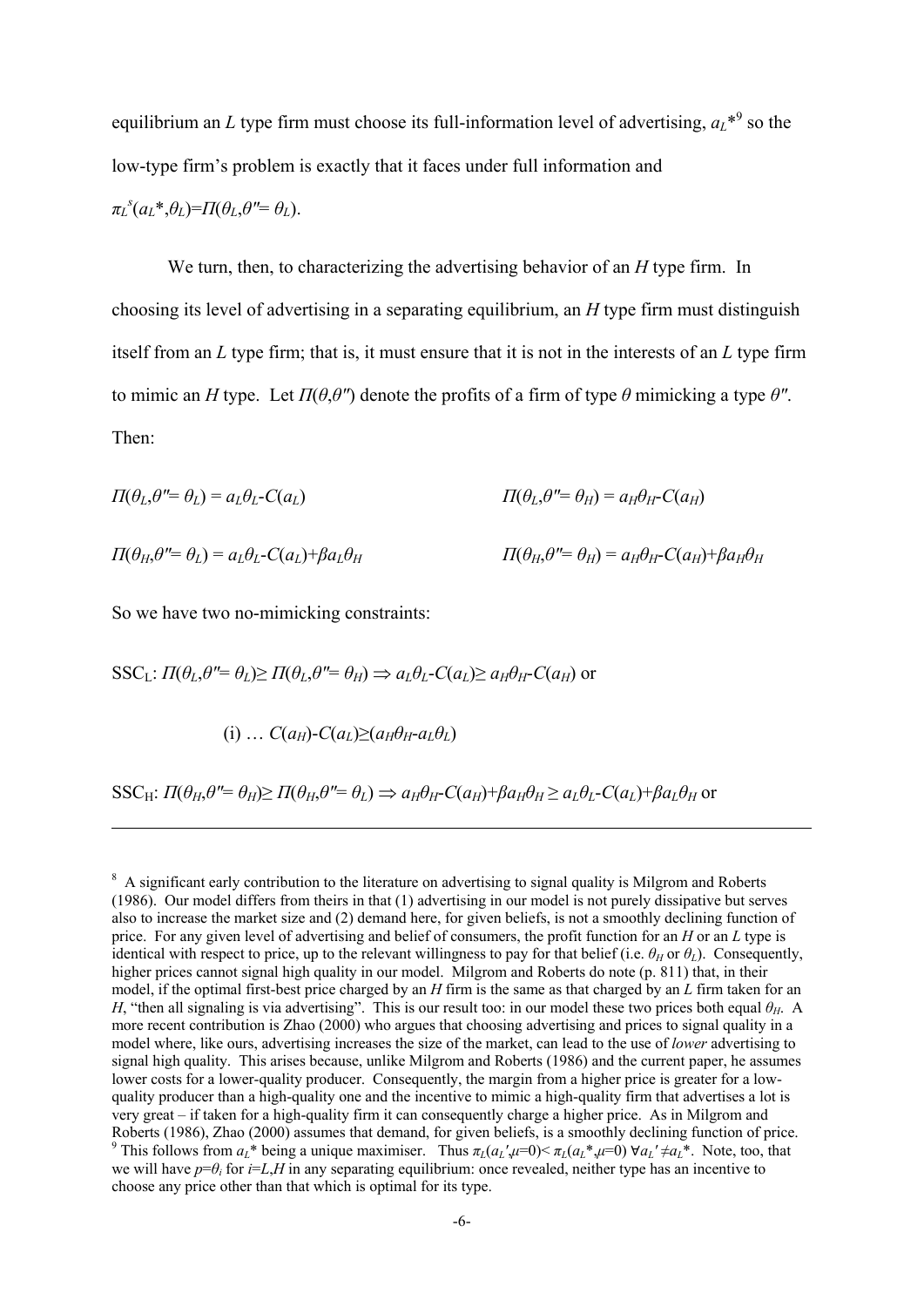equilibrium an *L* type firm must choose its full-information level of advertising,  ${a_L}^{*9}$  so the low-type firm's problem is exactly that it faces under full information and  $\pi_L^s(a_L^*, \theta_L) = \Pi(\theta_L, \theta'' = \theta_L).$ 

We turn, then, to characterizing the advertising behavior of an *H* type firm. In choosing its level of advertising in a separating equilibrium, an *H* type firm must distinguish itself from an *L* type firm; that is, it must ensure that it is not in the interests of an *L* type firm to mimic an *H* type. Let  $\Pi(\theta, \theta'')$  denote the profits of a firm of type  $\theta$  mimicking a type  $\theta''$ . Then:

$$
\Pi(\theta_L, \theta'' = \theta_L) = a_L \theta_L - C(a_L) \qquad \qquad \Pi(\theta_L, \theta'' = \theta_H) = a_H \theta_H - C(a_H)
$$

 $\Pi(\theta_H, \theta'' = \theta_L) = a_L \theta_L - C(a_L) + \beta a_L \theta_H$   $\Pi(\theta_H, \theta'' = \theta_H) = a_H \theta_H - C(a_H) + \beta a_H \theta_H$ 

So we have two no-mimicking constraints:

1

 $SSC_1$ :  $\Pi(\theta_L, \theta' = \theta_L) \ge \Pi(\theta_L, \theta'' = \theta_H) \Rightarrow a_L \theta_L - C(a_L) \ge a_H \theta_H - C(a_H)$  or

(i) ... 
$$
C(a_H) - C(a_L) \geq (a_H \theta_H - a_L \theta_L)
$$

SSC<sub>H</sub>:  $\Pi(\theta_H, \theta'' = \theta_H)$   $\Pi(\theta_H, \theta'' = \theta_I) \Rightarrow a_H \theta_H - C(a_H) + \beta a_H \theta_H$   $\ge a_I \theta_I - C(a_I) + \beta a_I \theta_H$  or

<sup>&</sup>lt;sup>8</sup> A significant early contribution to the literature on advertising to signal quality is Milgrom and Roberts (1986). Our model differs from theirs in that (1) advertising in our model is not purely dissipative but serves also to increase the market size and (2) demand here, for given beliefs, is not a smoothly declining function of price. For any given level of advertising and belief of consumers, the profit function for an *H* or an *L* type is identical with respect to price, up to the relevant willingness to pay for that belief (i.e.  $\theta_H$  or  $\theta_L$ ). Consequently, higher prices cannot signal high quality in our model. Milgrom and Roberts do note (p. 811) that, in their model, if the optimal first-best price charged by an *H* firm is the same as that charged by an *L* firm taken for an *H*, "then all signaling is via advertising". This is our result too: in our model these two prices both equal *θH*. A more recent contribution is Zhao (2000) who argues that choosing advertising and prices to signal quality in a model where, like ours, advertising increases the size of the market, can lead to the use of *lower* advertising to signal high quality. This arises because, unlike Milgrom and Roberts (1986) and the current paper, he assumes lower costs for a lower-quality producer. Consequently, the margin from a higher price is greater for a lowquality producer than a high-quality one and the incentive to mimic a high-quality firm that advertises a lot is very great – if taken for a high-quality firm it can consequently charge a higher price. As in Milgrom and Roberts (1986), Zhao (2000) assumes that demand, for given beliefs, is a smoothly declining function of price. <sup>9</sup> This follows from  $a_L^*$  being a unique maximiser. Thus  $\pi_L(a_L^{\prime}, \mu=0) \le \pi_L(a_L^* \mu=0) \ \forall a_L^{\prime} \ne a_L^*$ . Note, too, that we will have  $p=\theta$ *i* for  $i=L$ , H in any separating equilibrium: once revealed, neither type has an incentive to choose any price other than that which is optimal for its type.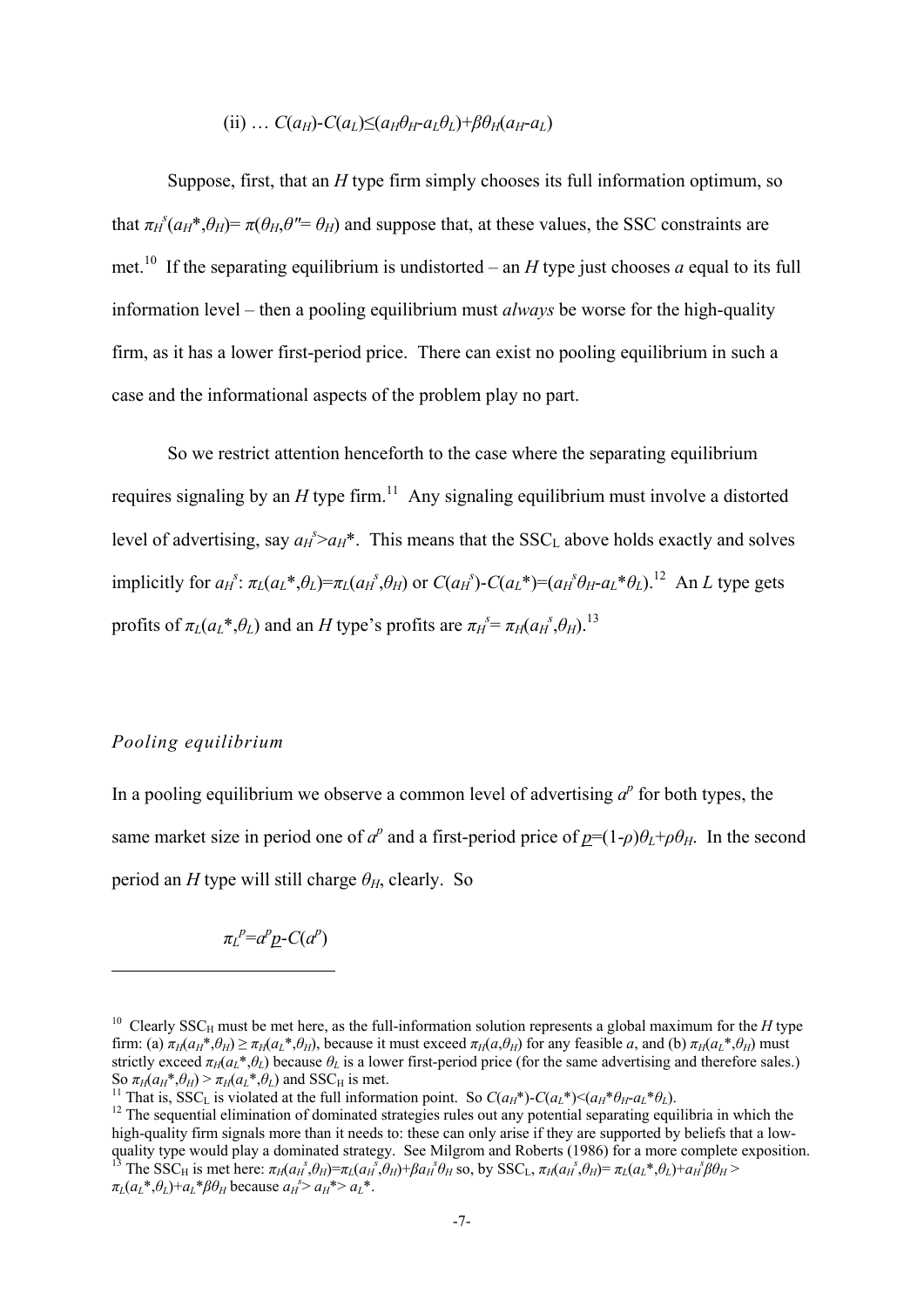## $(iii)$  …  $C(a_H)$ - $C(a_L) \leq (a_H \theta_H - a_L \theta_L) + \beta \theta_H(a_H - a_L)$

Suppose, first, that an *H* type firm simply chooses its full information optimum, so that  $\pi_H^s(a_H^*, \theta_H) = \pi(\theta_H, \theta'' = \theta_H)$  and suppose that, at these values, the SSC constraints are met.<sup>10</sup> If the separating equilibrium is undistorted – an *H* type just chooses *a* equal to its full information level – then a pooling equilibrium must *always* be worse for the high-quality firm, as it has a lower first-period price. There can exist no pooling equilibrium in such a case and the informational aspects of the problem play no part.

So we restrict attention henceforth to the case where the separating equilibrium requires signaling by an  $H$  type firm.<sup>11</sup> Any signaling equilibrium must involve a distorted level of advertising, say  $a_H^s > a_H^*$ . This means that the SSC<sub>L</sub> above holds exactly and solves implicitly for  $a_t^s$ :  $\pi_L(a_L^*, \theta_L) = \pi_L(a_H^s, \theta_H)$  or  $C(a_H^s)$ - $C(a_L^*) = (a_H^s \theta_H - a_L^* \theta_L)^{1/2}$  An L type gets profits of  $\pi_L(a_L^*, \theta_L)$  and an *H* type's profits are  $\pi_H^s = \pi_H(a_H^s, \theta_H)$ .<sup>13</sup>

## *Pooling equilibrium*

1

In a pooling equilibrium we observe a common level of advertising  $a^p$  for both types, the same market size in period one of  $a^p$  and a first-period price of  $p=(1-\rho)\theta_L+\rho\theta_H$ . In the second period an *H* type will still charge  $\theta$ <sup>H</sup>, clearly. So

 $\pi_L^p = a^p p$ -*C*( $a^p$ )

<sup>&</sup>lt;sup>10</sup> Clearly SSC<sub>H</sub> must be met here, as the full-information solution represents a global maximum for the *H* type firm: (a)  $\pi_H(a_H^*, \theta_H) \ge \pi_H(a_L^*, \theta_H)$ , because it must exceed  $\pi_H(a, \theta_H)$  for any feasible a, and (b)  $\pi_H(a_L^*, \theta_H)$  must strictly exceed  $\pi_H(a_L^*, \theta_L)$  because  $\theta_L$  is a lower first-period price (for the same advertising and therefore sales.)<br>So  $\pi_H(a_H^*, \theta_H) > \pi_H(a_I^*, \theta_I)$  and SSC<sub>H</sub> is met.

<sup>&</sup>lt;sup>11</sup> That is, SSC<sub>L</sub> is violated at the full information point. So  $C(a_H^*)$ - $C(a_L^*)$   $\leq (a_H^* \theta_H - a_L^* \theta_L)$ .<br><sup>12</sup> The sequential elimination of dominated strategies rules out any potential separating equilibria in which the high-quality firm signals more than it needs to: these can only arise if they are supported by beliefs that a lowquality type would play a dominated strategy. See Milgrom and Roberts (1986) for a more complete exposition.  $\mathcal{E}_{\beta}^{s}(\theta_{H}) = \pi_{L}(a_{H}^{s}, \theta_{H}) + \beta a_{H}^{s}\theta_{H}$  so, by SSC<sub>L</sub>,  $\pi_{H}(a_{H}^{s}, \theta_{H}) = \pi_{L}(a_{L}^{*}, \theta_{L}) + a_{H}^{s}\beta\theta_{H}$  $\pi_L(a_L^*, \theta_L) + a_L^* \beta \theta_H$  because  $a_H^s > a_H^* > a_L^*$ .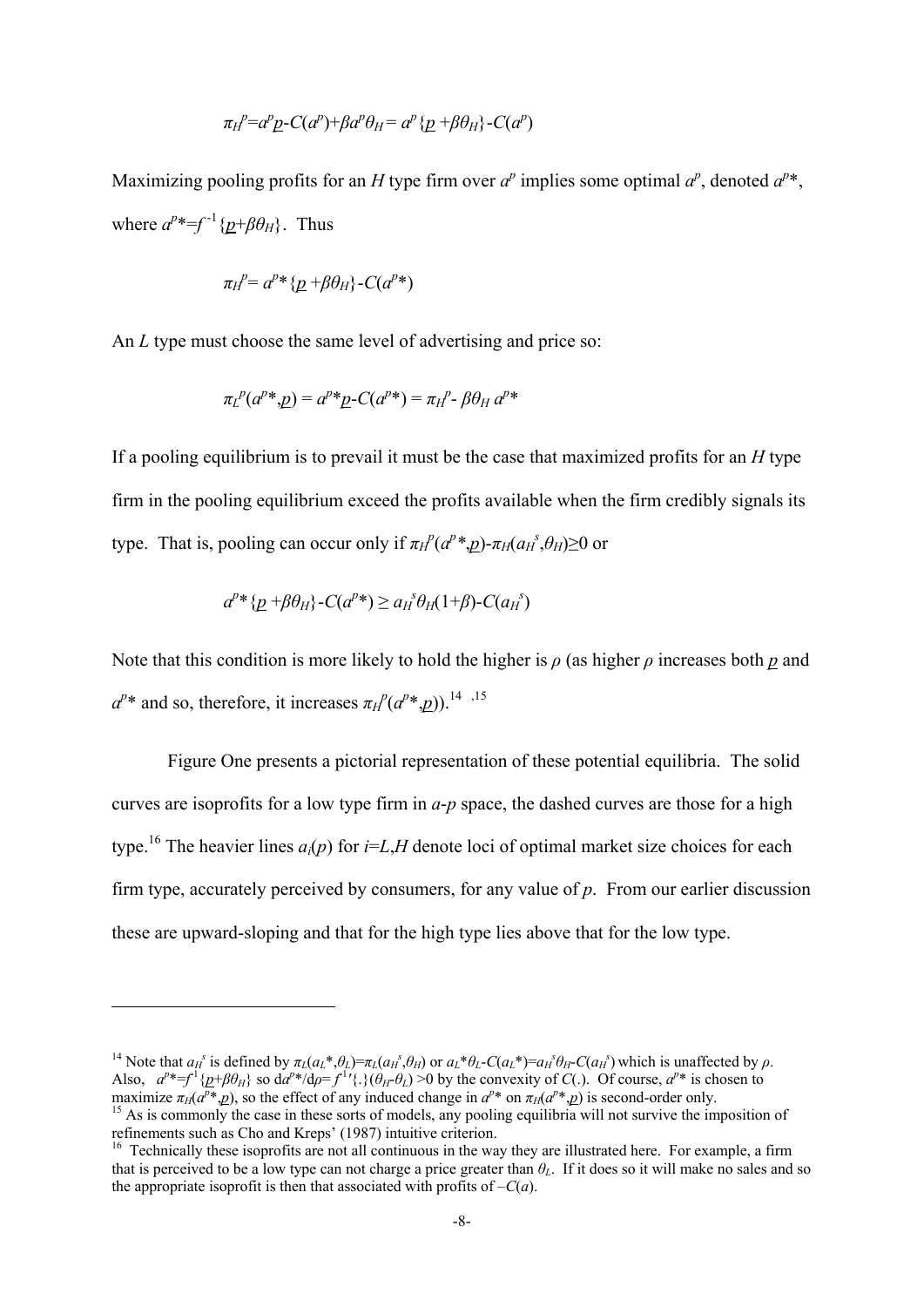$$
\pi_H^{\ p} = a^p \underline{p} - C(a^p) + \beta a^p \theta_H = a^p \{\underline{p} + \beta \theta_H\} - C(a^p)
$$

Maximizing pooling profits for an *H* type firm over  $a^p$  implies some optimal  $a^p$ , denoted  $a^{p*}$ , where  $a^{p*}=f^{-1}\{p+\beta\theta_H\}$ . Thus

$$
\pi_H^{\ p} = a^{p} * \{p + \beta \theta_H\} - C(a^{p}*)
$$

An *L* type must choose the same level of advertising and price so:

$$
\pi_L{}^p(a^{p*}, \underline{p}) = a^{p*} \underline{p} \cdot C(a^{p*}) = \pi_H{}^p \cdot \beta \theta_H a^{p*}
$$

If a pooling equilibrium is to prevail it must be the case that maximized profits for an *H* type firm in the pooling equilibrium exceed the profits available when the firm credibly signals its type. That is, pooling can occur only if  $\pi_H^p(a^p *_{p} p)$ - $\pi_H(a^p A^s_{p} \ge 0$  or

$$
a^{p*}\{p+\beta\theta_H\} - C(a^{p*}) \ge a_H^s \theta_H(1+\beta) - C(a_H^s)
$$

1

Note that this condition is more likely to hold the higher is *ρ* (as higher *ρ* increases both *p* and  $a^{p*}$  and so, therefore, it increases  $\pi$ <sup>*P*</sup>( $a^{p*}$ ,*p*)).<sup>14</sup><sup>,15</sup>

 Figure One presents a pictorial representation of these potential equilibria. The solid curves are isoprofits for a low type firm in *a*-*p* space, the dashed curves are those for a high type.<sup>16</sup> The heavier lines  $a_i(p)$  for  $i=L,H$  denote loci of optimal market size choices for each firm type, accurately perceived by consumers, for any value of *p*. From our earlier discussion these are upward-sloping and that for the high type lies above that for the low type.

<sup>&</sup>lt;sup>14</sup> Note that  $a_H^s$  is defined by  $\pi_L(a_L^*, \theta_L) = \pi_L(a_H^s, \theta_H)$  or  $a_L^* \theta_L$ -C( $a_L^*$ )= $a_H^s \theta_H$ -C( $a_H^s$ ) which is unaffected by  $\rho$ . Also,  $a^{p*}=f^1\{p+\beta\theta_H\}$  so  $da^{p*}/d\rho=f^{1'}\{\}(\theta_H-\theta_L)>0$  by the convexity of  $C(.)$ . Of course,  $a^{p*}$  is chosen to maximize  $\pi_H(a^p * p)$ , so the effect of any induced change in  $a^{p*}$  on  $\pi_H(a^{p*} p)$  is second-order only.<br><sup>15</sup> As is commonly the case in these sorts of models, any pooling equilibria will not survive the imposition of

refinements such as Cho and Kreps' (1987) intuitive criterion.

 $16$  Technically these isoprofits are not all continuous in the way they are illustrated here. For example, a firm that is perceived to be a low type can not charge a price greater than *θL*. If it does so it will make no sales and so the appropriate isoprofit is then that associated with profits of  $-C(a)$ .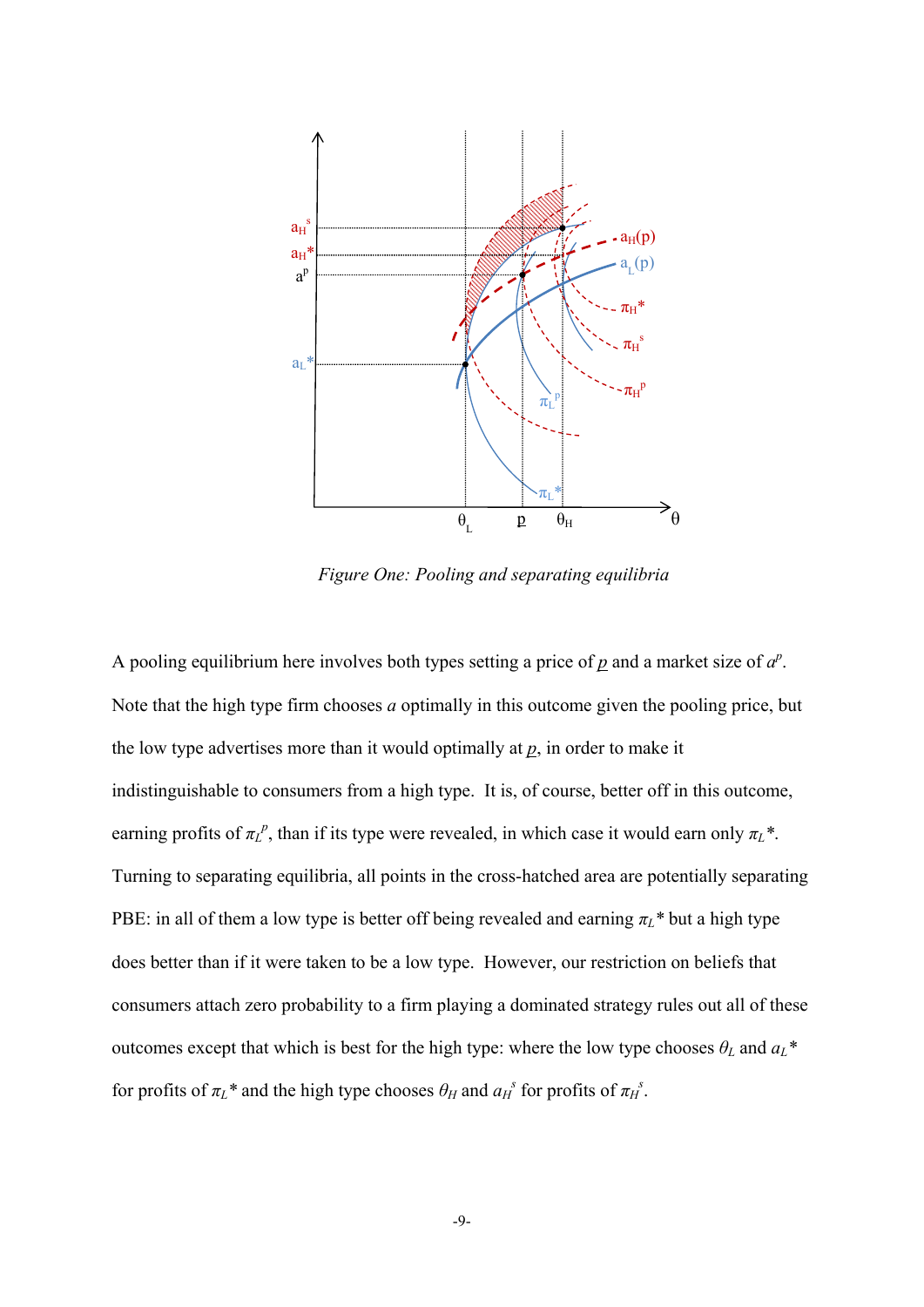

*Figure One: Pooling and separating equilibria* 

A pooling equilibrium here involves both types setting a price of  $p$  and a market size of  $a^p$ . Note that the high type firm chooses *a* optimally in this outcome given the pooling price, but the low type advertises more than it would optimally at *p*, in order to make it indistinguishable to consumers from a high type. It is, of course, better off in this outcome, earning profits of  $\pi L^p$ , than if its type were revealed, in which case it would earn only  $\pi L^*$ . Turning to separating equilibria, all points in the cross-hatched area are potentially separating PBE: in all of them a low type is better off being revealed and earning  $\pi_L^*$  but a high type does better than if it were taken to be a low type. However, our restriction on beliefs that consumers attach zero probability to a firm playing a dominated strategy rules out all of these outcomes except that which is best for the high type: where the low type chooses  $\theta_L$  and  $a_L^*$ for profits of  $\pi_L^*$  and the high type chooses  $\theta_H$  and  $a_H^s$  for profits of  $\pi_H^s$ .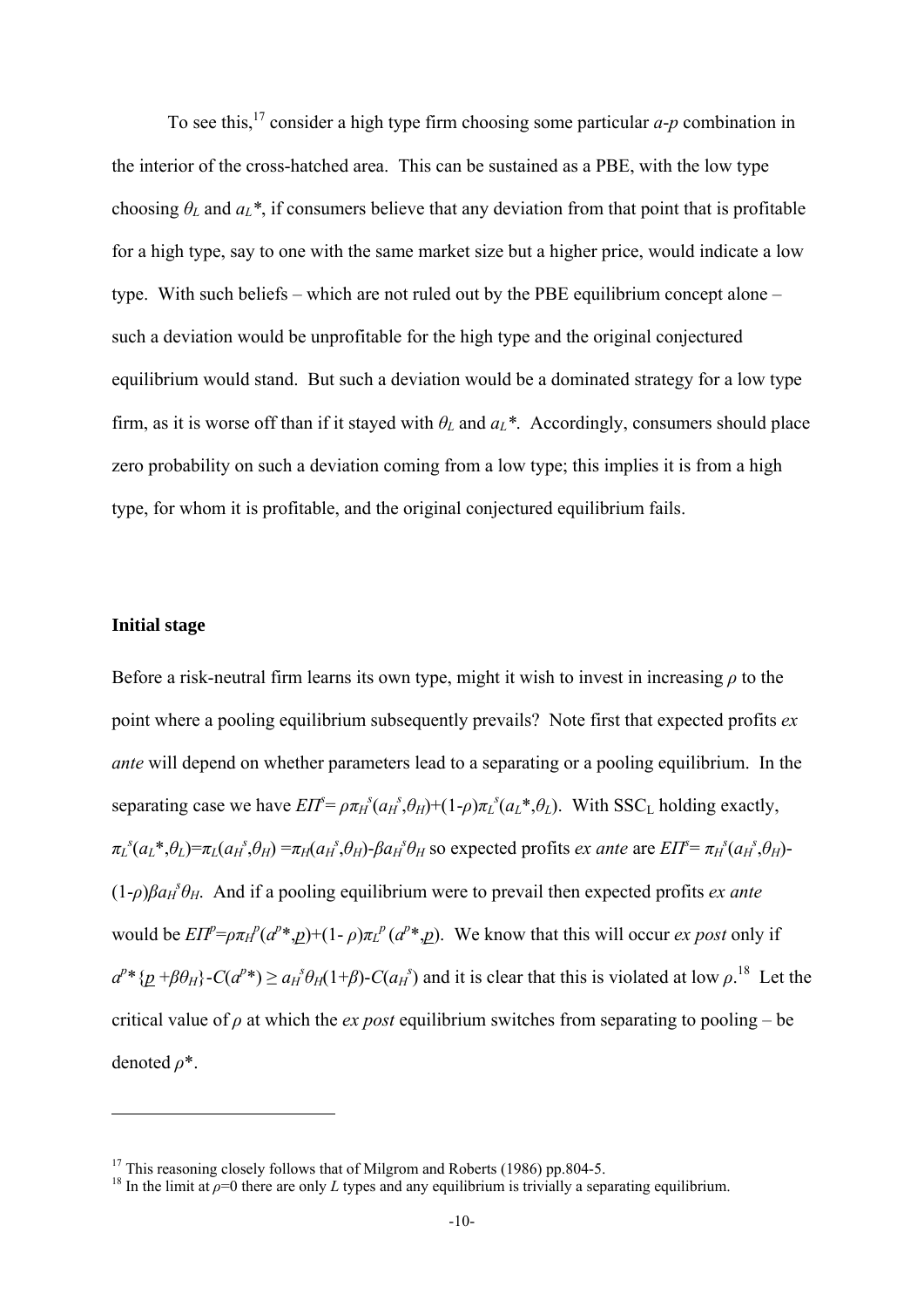To see this,17 consider a high type firm choosing some particular *a*-*p* combination in the interior of the cross-hatched area. This can be sustained as a PBE, with the low type choosing  $\theta_L$  and  $a_L^*$ , if consumers believe that any deviation from that point that is profitable for a high type, say to one with the same market size but a higher price, would indicate a low type. With such beliefs – which are not ruled out by the PBE equilibrium concept alone – such a deviation would be unprofitable for the high type and the original conjectured equilibrium would stand. But such a deviation would be a dominated strategy for a low type firm, as it is worse off than if it stayed with  $\theta_L$  and  $a_L^*$ . Accordingly, consumers should place zero probability on such a deviation coming from a low type; this implies it is from a high type, for whom it is profitable, and the original conjectured equilibrium fails.

## **Initial stage**

1

Before a risk-neutral firm learns its own type, might it wish to invest in increasing *ρ* to the point where a pooling equilibrium subsequently prevails? Note first that expected profits *ex ante* will depend on whether parameters lead to a separating or a pooling equilibrium. In the separating case we have  $EIT^{\epsilon} = \rho \pi_H^s(a_H^s, \theta_H) + (1-\rho)\pi_L^s(a_L^*, \theta_L)$ . With SSC<sub>L</sub> holding exactly,  $\pi_L{}^s(a_L*, \theta_L) = \pi_L(a_H{}^s, \theta_H) = \pi_H(a_H{}^s, \theta_H) - \beta a_H{}^s \theta_H$  so expected profits *ex ante* are  $E\Gamma^s = \pi_H{}^s(a_H{}^s, \theta_H)$  $(1-\rho)\beta a_H^{\ \ s}\theta_H$ . And if a pooling equilibrium were to prevail then expected profits *ex ante* would be  $E\Pi^p = \rho \pi H^p (a^p * p) + (1 - \rho) \pi L^p (a^p * p)$ . We know that this will occur *ex post* only if  $a^{p*}\{p + \beta \theta_H\} - C(a^{p*}) \ge a_H^{\ s} \theta_H(1+\beta) - C(a_H^{\ s})$  and it is clear that this is violated at low  $\rho$ .<sup>18</sup> Let the critical value of  $\rho$  at which the *ex post* equilibrium switches from separating to pooling – be denoted *ρ*\*.

<sup>&</sup>lt;sup>17</sup> This reasoning closely follows that of Milgrom and Roberts (1986) pp. 804-5.

<sup>&</sup>lt;sup>18</sup> In the limit at  $\rho=0$  there are only *L* types and any equilibrium is trivially a separating equilibrium.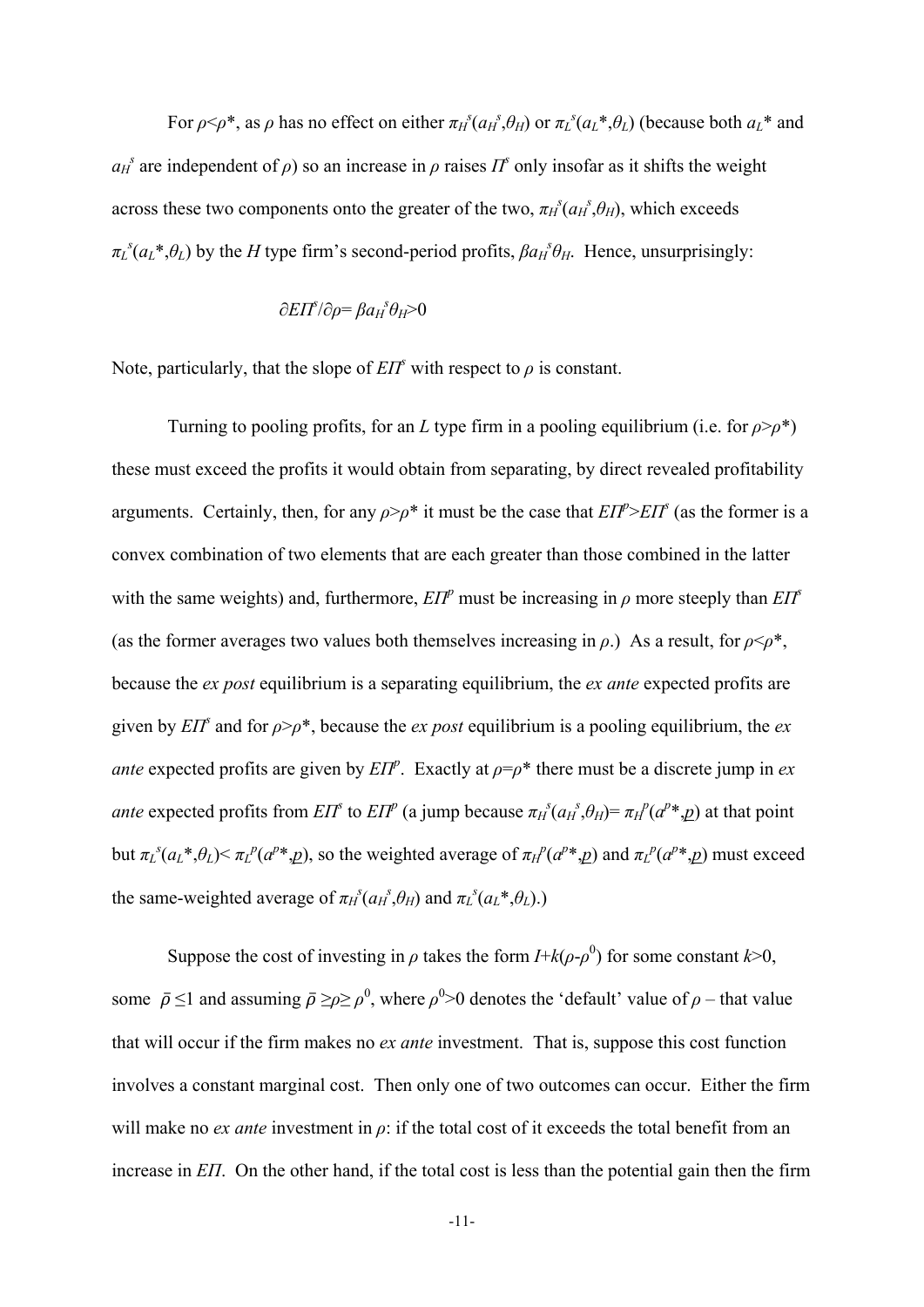For  $\rho \le \rho^*$ , as  $\rho$  has no effect on either  $\pi_H^s(a_H^s, \theta_H)$  or  $\pi_L^s(a_L^*, \theta_L)$  (because both  $a_L^*$  and  $a_H^s$  are independent of  $\rho$ ) so an increase in  $\rho$  raises  $\Pi^s$  only insofar as it shifts the weight across these two components onto the greater of the two,  $\pi_h^s(a_h^s, \theta_h)$ , which exceeds  $\pi_L^s(a_L^*, \theta_L)$  by the *H* type firm's second-period profits,  $\beta a_H^s \theta_H$ . Hence, unsurprisingly:

## ∂*EΠ<sup>s</sup>* /∂*ρ*= *βaH s θH*>0

Note, particularly, that the slope of  $E\Gamma F$ <sup>*s*</sup> with respect to  $\rho$  is constant.

Turning to pooling profits, for an *L* type firm in a pooling equilibrium (i.e. for *ρ*>*ρ*\*) these must exceed the profits it would obtain from separating, by direct revealed profitability arguments. Certainly, then, for any  $\rho > \rho^*$  it must be the case that  $E\Gamma P > E\Gamma P$ <sup>*s*</sup> (as the former is a convex combination of two elements that are each greater than those combined in the latter with the same weights) and, furthermore,  $EIP^p$  must be increasing in  $\rho$  more steeply than  $EIP^s$ (as the former averages two values both themselves increasing in  $\rho$ .) As a result, for  $\rho \leq \rho^*$ , because the *ex post* equilibrium is a separating equilibrium, the *ex ante* expected profits are given by *EΠ*<sup>*s*</sup> and for  $\rho$ >*ρ*<sup>\*</sup>, because the *ex post* equilibrium is a pooling equilibrium, the *ex ante* expected profits are given by  $EIP^p$ . Exactly at  $p = p^*$  there must be a discrete jump in *ex ante* expected profits from  $E\Gamma^s$  to  $E\Gamma^p$  (a jump because  $\pi_H^s(a_H^s, \theta_H) = \pi_H^p(a^{p*} \cdot \rho)$  at that point but  $\pi_L^s(a_L^*, \theta_L) < \pi_L^p(a^{p*}, \underline{p})$ , so the weighted average of  $\pi_H^p(a^{p*}, \underline{p})$  and  $\pi_L^p(a^{p*}, \underline{p})$  must exceed the same-weighted average of  $\pi_H^s(a_H^s, \theta_H)$  and  $\pi_L^s(a_L^*, \theta_L)$ .)

Suppose the cost of investing in  $\rho$  takes the form  $I + k(\rho - \rho^0)$  for some constant  $k > 0$ , some  $\bar{\rho} \le 1$  and assuming  $\bar{\rho} \ge \rho \ge \rho^0$ , where  $\rho^0 > 0$  denotes the 'default' value of  $\rho$  – that value that will occur if the firm makes no *ex ante* investment. That is, suppose this cost function involves a constant marginal cost. Then only one of two outcomes can occur. Either the firm will make no *ex ante* investment in  $\rho$ : if the total cost of it exceeds the total benefit from an increase in *EΠ*. On the other hand, if the total cost is less than the potential gain then the firm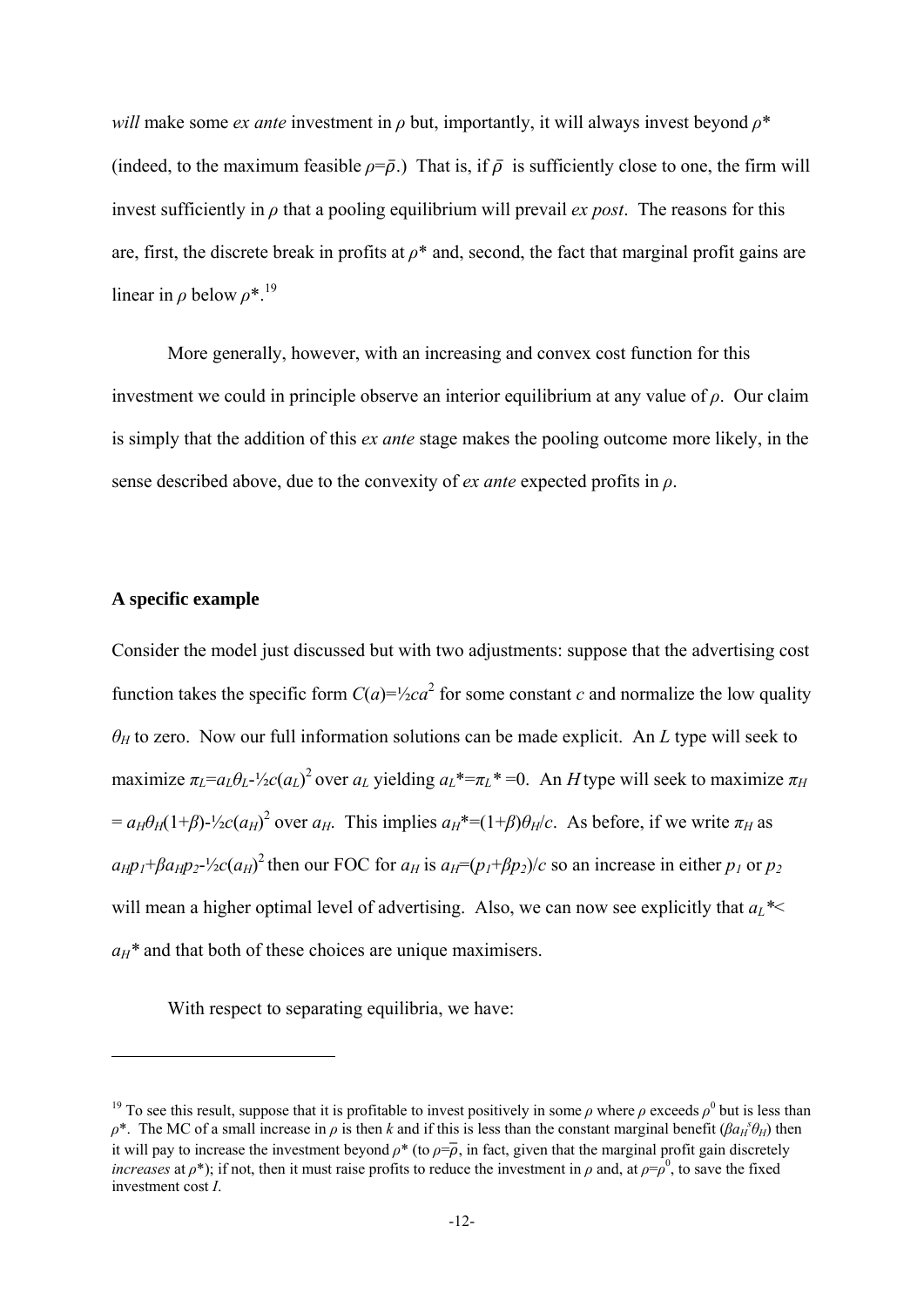*will* make some *ex ante* investment in  $\rho$  but, importantly, it will always invest beyond  $\rho^*$ (indeed, to the maximum feasible  $\rho = \overline{\rho}$ .) That is, if  $\overline{\rho}$  is sufficiently close to one, the firm will invest sufficiently in  $\rho$  that a pooling equilibrium will prevail *ex post*. The reasons for this are, first, the discrete break in profits at *ρ*\* and, second, the fact that marginal profit gains are linear in  $\rho$  below  $\rho^*$ <sup>19</sup>

More generally, however, with an increasing and convex cost function for this investment we could in principle observe an interior equilibrium at any value of *ρ*. Our claim is simply that the addition of this *ex ante* stage makes the pooling outcome more likely, in the sense described above, due to the convexity of *ex ante* expected profits in *ρ*.

## **A specific example**

<u>.</u>

Consider the model just discussed but with two adjustments: suppose that the advertising cost function takes the specific form  $C(a) = \frac{1}{2}ca^2$  for some constant *c* and normalize the low quality *θ<sup>H</sup>* to zero. Now our full information solutions can be made explicit. An *L* type will seek to maximize  $\pi_L = a_L \theta_L - \frac{1}{2}c(a_L)^2$  over  $a_L$  yielding  $a_L^* = \pi_L^* = 0$ . An *H* type will seek to maximize  $\pi_H$  $= a_H \theta_H (1+\beta)$ - $\frac{1}{2}c(a_H)^2$  over  $a_H$ . This implies  $a_H^*=(1+\beta)\theta_H/c$ . As before, if we write  $\pi_H$  as  $a_{H}p_{I}+\beta a_{H}p_{2}-\frac{1}{2}c(a_{H})^{2}$  then our FOC for  $a_{H}$  is  $a_{H}=(p_{I}+\beta p_{2})/c$  so an increase in either  $p_{I}$  or  $p_{2}$ will mean a higher optimal level of advertising. Also, we can now see explicitly that  $a_L^*$  $a_H^*$  and that both of these choices are unique maximisers.

With respect to separating equilibria, we have:

<sup>&</sup>lt;sup>19</sup> To see this result, suppose that it is profitable to invest positively in some  $\rho$  where  $\rho$  exceeds  $\rho^0$  but is less than  $\rho^*$ . The MC of a small increase in  $\rho$  is then *k* and if this is less than the constant marginal benefit ( $\beta a_H^{\ s} \theta_H$ ) then it will pay to increase the investment beyond  $\rho^*$  (to  $\rho = \overline{\rho}$ , in fact, given that the marginal profit gain discretely *increases* at  $\rho^*$ ); if not, then it must raise profits to reduce the investment in  $\rho$  and, at  $\rho = \rho^0$ , to save the fixed investment cost *I*.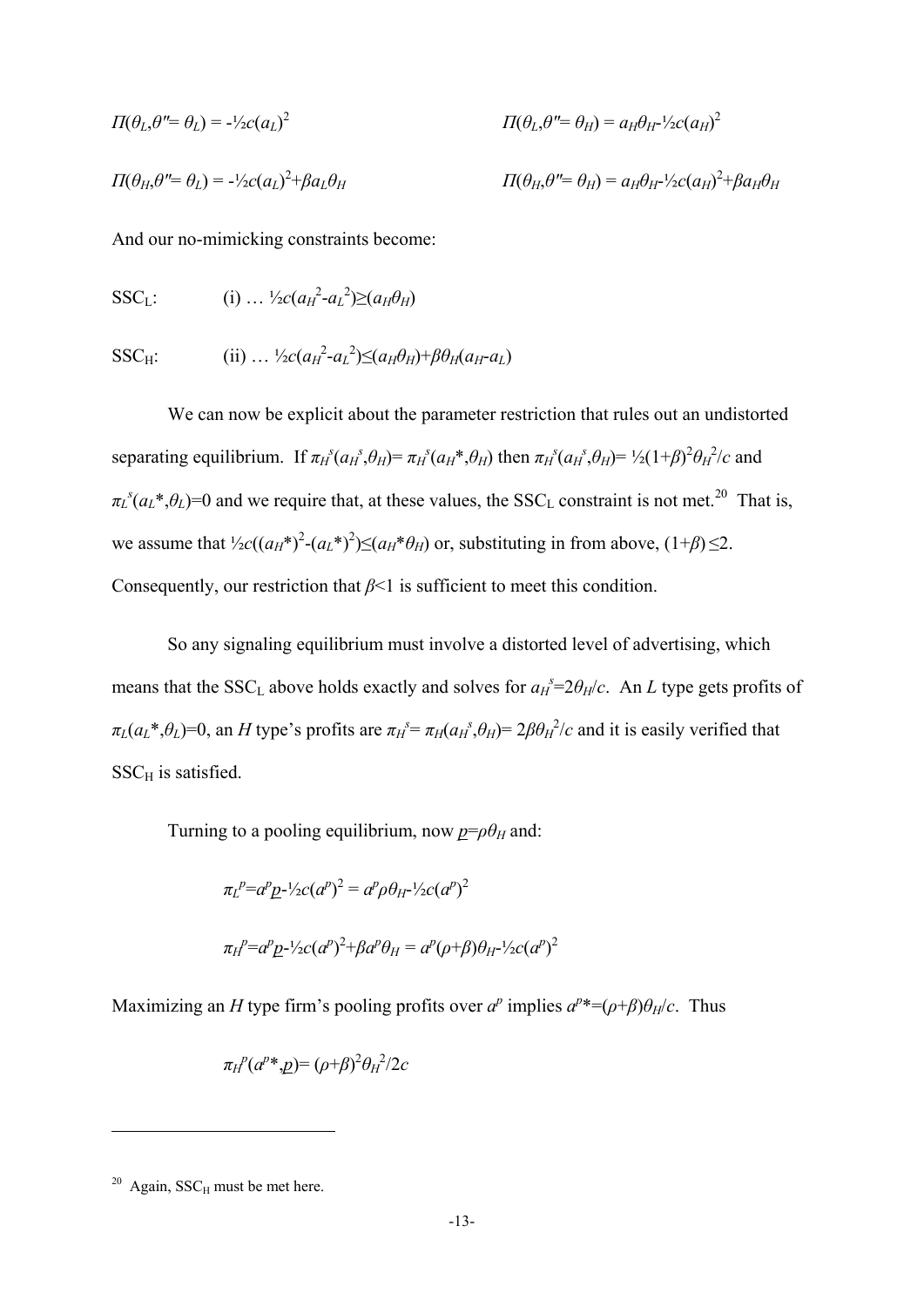$$
\Pi(\theta_L, \theta'' = \theta_L) = -\frac{1}{2}c(a_L)^2
$$
\n
$$
\Pi(\theta_L, \theta'' = \theta_H) = a_H \theta_H - \frac{1}{2}c(a_H)^2
$$
\n
$$
\Pi(\theta_H, \theta'' = \theta_L) = -\frac{1}{2}c(a_L)^2 + \beta a_L \theta_H
$$
\n
$$
\Pi(\theta_H, \theta'' = \theta_H) = a_H \theta_H - \frac{1}{2}c(a_H)^2 + \beta a_H \theta_H
$$

And our no-mimicking constraints become:

$$
SSC_{L}: \qquad (i) \ldots \frac{1}{2}c(a_{H}^{2}-a_{L}^{2})\geq (a_{H}\theta_{H})
$$

$$
SSC_H: \qquad \qquad (ii) \ldots \frac{1}{2}c(a_H^2-a_L^2) \leq (a_H \theta_H) + \beta \theta_H(a_H-a_L)
$$

We can now be explicit about the parameter restriction that rules out an undistorted separating equilibrium. If  $\pi_H^s(a_H^s, \theta_H) = \pi_H^s(a_H^s, \theta_H)$  then  $\pi_H^s(a_H^s, \theta_H) = \frac{1}{2}(1+\beta)^2 \theta_H^s$  and  $\pi_L^s(a_L^*, \theta_L) = 0$  and we require that, at these values, the SSC<sub>L</sub> constraint is not met.<sup>20</sup> That is, we assume that  $\frac{1}{2}c((a_H^*)^2-(a_L^*)^2)\leq (a_H^*\theta_H)$  or, substituting in from above,  $(1+\beta)\leq 2$ . Consequently, our restriction that *β*<1 is sufficient to meet this condition.

So any signaling equilibrium must involve a distorted level of advertising, which means that the SSC<sub>L</sub> above holds exactly and solves for  $a_H^s = 2\theta_H/c$ . An *L* type gets profits of  $\pi_L(a_L^*, \theta_L) = 0$ , an H type's profits are  $\pi_H^s = \pi_H(a_H^s, \theta_H) = 2\beta \theta_H^2/c$  and it is easily verified that  $SSC<sub>H</sub>$  is satisfied.

Turning to a pooling equilibrium, now  $p = \rho \theta_H$  and:

$$
\pi_L^{\ p} = a^p \underline{p}^{-1/2} c (a^p)^2 = a^p \rho \theta_H^{-1/2} c (a^p)^2
$$
  

$$
\pi_H^{\ p} = a^p \underline{p}^{-1/2} c (a^p)^2 + \beta a^p \theta_H = a^p (\rho + \beta) \theta_H^{-1/2} c (a^p)^2
$$

Maximizing an *H* type firm's pooling profits over  $a^p$  implies  $a^{p*} = (\rho + \beta)\theta_H/c$ . Thus

$$
\pi_H^p(a^{p*},\underline{p})=(\rho+\beta)^2\theta_H^2/2c
$$

1

 $20$  Again, SSC<sub>H</sub> must be met here.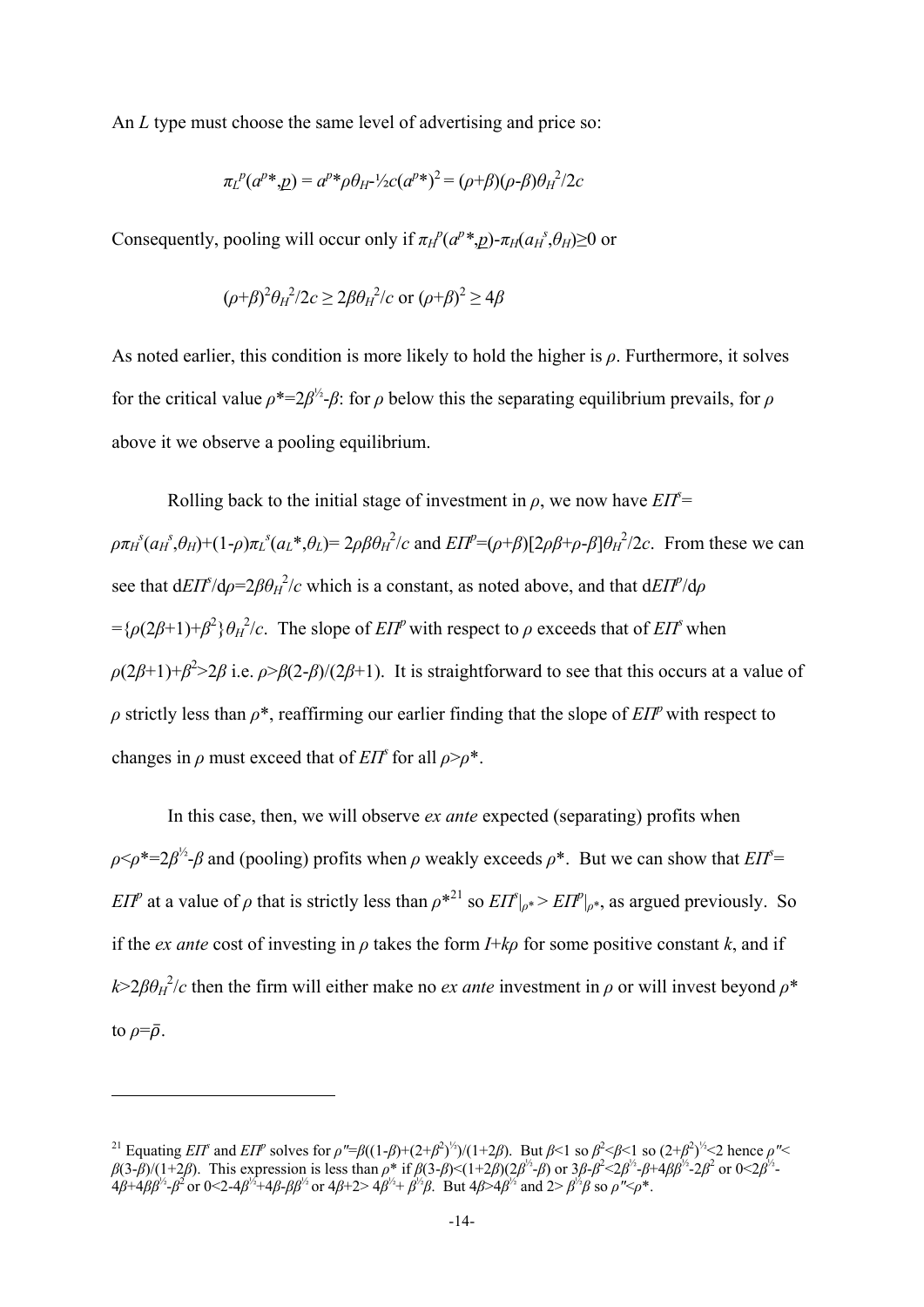An *L* type must choose the same level of advertising and price so:

$$
\pi_L{}^p(a^{p*}, \underline{p}) = a^{p*} \rho \theta_H - \frac{1}{2}c(a^{p*})^2 = (\rho + \beta)(\rho - \beta)\theta_H^2 / 2c
$$

Consequently, pooling will occur only if  $\pi$ <sup>*H*</sup>( $a^p$ <sup>\*</sup>,*p*)- $\pi$ *H*( $a$ <sup>*H*</sup>, $\theta$ *H*)≥0 or

$$
(\rho+\beta)^2\theta_H^2/2c \ge 2\beta\theta_H^2/c \text{ or } (\rho+\beta)^2 \ge 4\beta
$$

As noted earlier, this condition is more likely to hold the higher is *ρ*. Furthermore, it solves for the critical value  $\rho^* = 2\beta^2 - \beta$ : for  $\rho$  below this the separating equilibrium prevails, for  $\rho$ above it we observe a pooling equilibrium.

Rolling back to the initial stage of investment in  $\rho$ , we now have  $E\Pi^{\tilde{s}}=$  $\rho \pi_H^s(a_H^s, \theta_H) + (1-\rho) \pi_L^s(a_L^*, \theta_L) = 2\rho \beta \theta_H^2/c$  and  $E\Pi^p = (\rho + \beta)[2\rho \beta + \rho - \beta] \theta_H^2/2c$ . From these we can see that  $dE\left(\frac{I}{I}\right) = 2\beta\theta_H^2/c$  which is a constant, as noted above, and that  $dE\left(\frac{I}{I}\right)$  $=$ { $\rho$ (2*β*+1)+*β*<sup>2</sup>} $\theta$ <sup>*H*</sup>/*c*. The slope of *EΠ*<sup>*p*</sup> with respect to *ρ* exceeds that of *EΠ*<sup>*s*</sup> when  $\rho(2\beta+1)+\beta^2>2\beta$  i.e.  $\rho > \beta(2-\beta)/(2\beta+1)$ . It is straightforward to see that this occurs at a value of *ρ* strictly less than  $\rho^*$ , reaffirming our earlier finding that the slope of *EΠ*<sup>*p*</sup> with respect to changes in  $\rho$  must exceed that of *EΠ*<sup>*s*</sup> for all  $\rho > \rho^*$ .

In this case, then, we will observe *ex ante* expected (separating) profits when  $\rho \leq \rho^* = 2\beta^{\frac{1}{2}}$ -*β* and (pooling) profits when *ρ* weakly exceeds  $\rho^*$ . But we can show that *EIT*<sup>s</sup> *EΠ*<sup>*p*</sup> at a value of *ρ* that is strictly less than  $\rho^{*21}$  so  $EIT|_{\rho^{*}} > EIT|_{\rho^{*}}$ , as argued previously. So if the *ex ante* cost of investing in *ρ* takes the form *I*+*kρ* for some positive constant *k*, and if  $k > 2\beta\theta_H^2/c$  then the firm will either make no *ex ante* investment in  $\rho$  or will invest beyond  $\rho^*$ to  $\rho = \overline{\rho}$ .

<u>.</u>

<sup>&</sup>lt;sup>21</sup> Equating *EIT*<sup>*s*</sup> and *EIT*<sup>*p*</sup> solves for  $\rho$ "= $\beta((1-\beta)+(2+\beta^2)^{1/2})/(1+2\beta)$ . But  $\beta$ <1 so  $\beta^2$ < $\beta$ <1 so  $(2+\beta^2)^{1/2}$ <2 hence  $\rho$ "< *β*(3-*β*)/(1+2*β*). This expression is less than *ρ*<sup>\*</sup> if *β*(3-*β*)<(1+2*β*)(2*β*<sup>½</sup>-*β*) or 3*β*-*β*<sup>2</sup><2*β*<sup>½</sup>-2*β*<sup>2</sup> or 0<2*β*<sup>½</sup>- $4\beta + 4\beta\beta^{1/2} - \beta^2$  or  $0 < 2 - 4\beta^{1/2} + 4\beta - \beta\beta^{1/2}$  or  $4\beta + 2 > 4\beta^{1/2} + \beta^{1/2}\beta$ . But  $4\beta > 4\beta^{1/2}$  and  $2 > \beta^{1/2}\beta$  so  $\rho'' < \rho^*$ .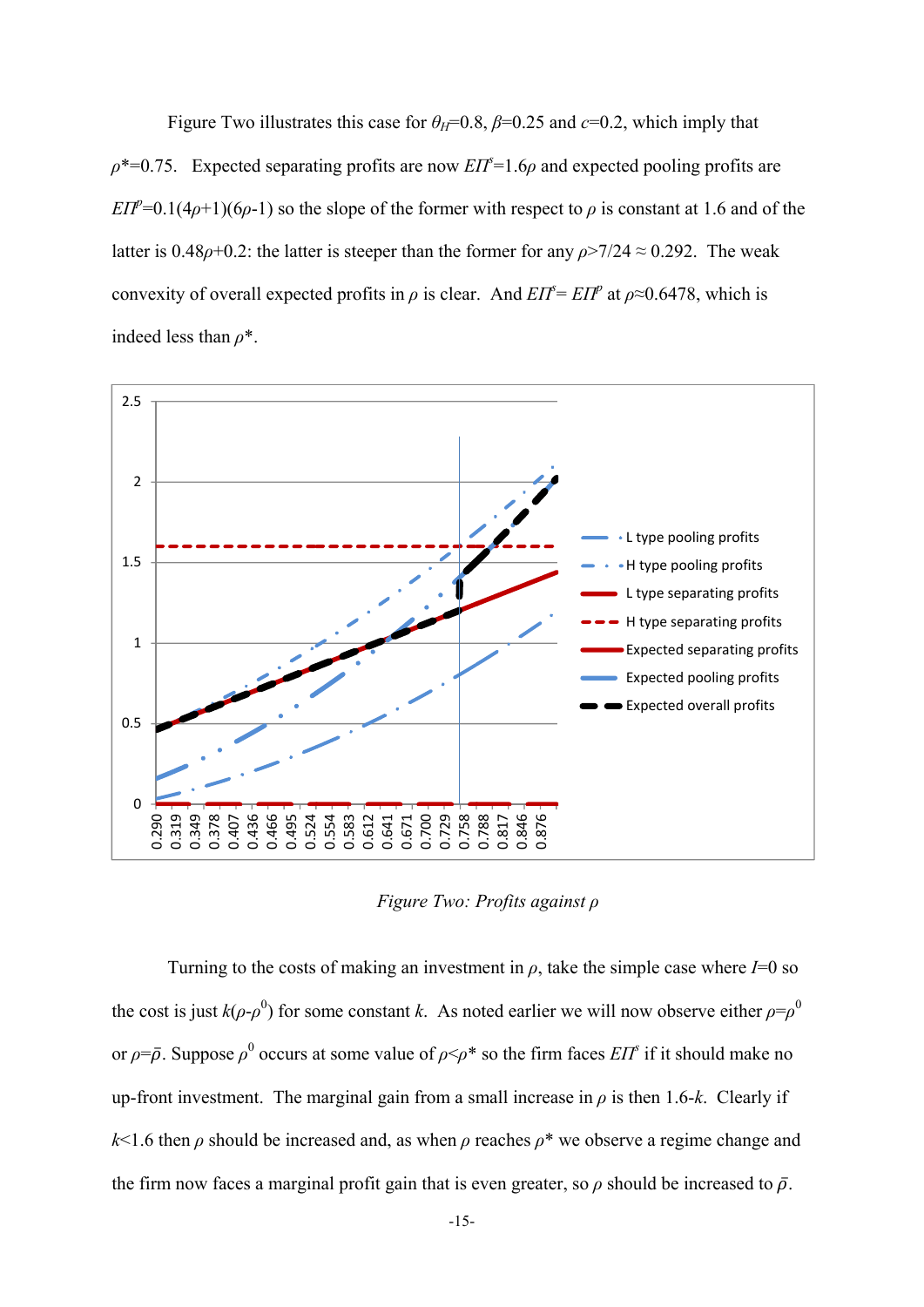Figure Two illustrates this case for  $\theta_H=0.8$ ,  $\beta=0.25$  and  $c=0.2$ , which imply that  $\rho^*$ =0.75. Expected separating profits are now *EIT*<sup> $\epsilon$ </sup>=1.6 $\rho$  and expected pooling profits are *EΠ*<sup>*p*</sup>=0.1(4*ρ*+1)(6*ρ*-1) so the slope of the former with respect to *ρ* is constant at 1.6 and of the latter is  $0.48\rho + 0.2$ : the latter is steeper than the former for any  $\rho > 7/24 \approx 0.292$ . The weak convexity of overall expected profits in  $\rho$  is clear. And  $EIT = EIT^p$  at  $\rho \approx 0.6478$ , which is indeed less than *ρ*\*.



*Figure Two: Profits against ρ*

Turning to the costs of making an investment in  $\rho$ , take the simple case where  $I=0$  so the cost is just  $k(\rho \text{-} \rho^0)$  for some constant *k*. As noted earlier we will now observe either  $\rho = \rho^0$ or  $\rho = \bar{\rho}$ . Suppose  $\rho^0$  occurs at some value of  $\rho \leq \rho^*$  so the firm faces *EIT*<sup>*s*</sup> if it should make no up-front investment. The marginal gain from a small increase in  $\rho$  is then 1.6-k. Clearly if  $k$ <1.6 then  $\rho$  should be increased and, as when  $\rho$  reaches  $\rho^*$  we observe a regime change and the firm now faces a marginal profit gain that is even greater, so  $\rho$  should be increased to  $\bar{\rho}$ .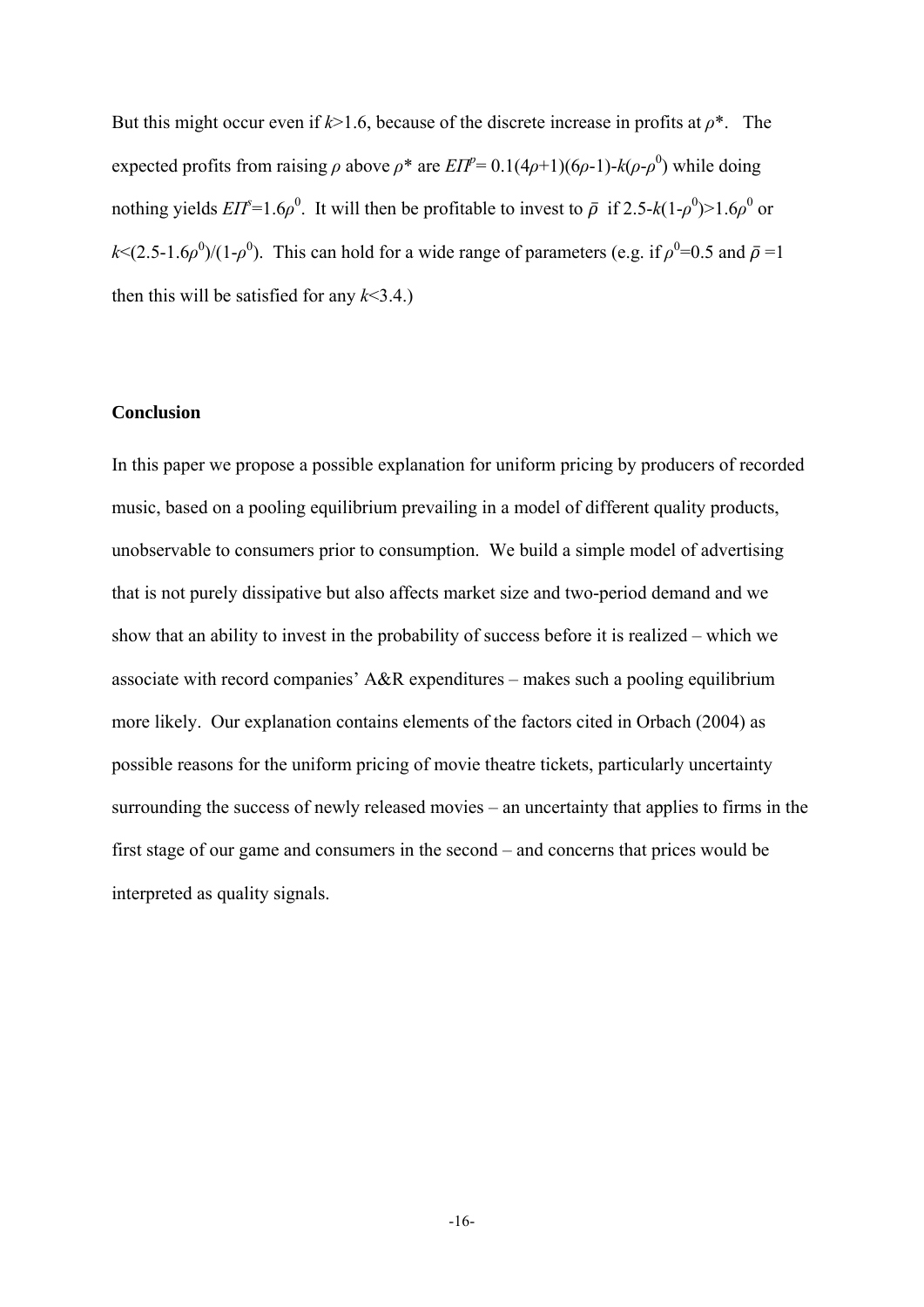But this might occur even if  $k > 1.6$ , because of the discrete increase in profits at  $\rho^*$ . The expected profits from raising  $\rho$  above  $\rho^*$  are  $EIP^2 = 0.1(4\rho+1)(6\rho-1)$ - $k(\rho-\rho^0)$  while doing nothing yields  $EIT = 1.6\rho^0$ . It will then be profitable to invest to  $\bar{\rho}$  if 2.5- $k(1-\rho^0) > 1.6\rho^0$  or  $k \leq (2.5-1.6\rho^0)/(1-\rho^0)$ . This can hold for a wide range of parameters (e.g. if  $\rho^0=0.5$  and  $\bar{\rho}=1$ ) then this will be satisfied for any  $k<3.4$ .)

#### **Conclusion**

In this paper we propose a possible explanation for uniform pricing by producers of recorded music, based on a pooling equilibrium prevailing in a model of different quality products, unobservable to consumers prior to consumption. We build a simple model of advertising that is not purely dissipative but also affects market size and two-period demand and we show that an ability to invest in the probability of success before it is realized – which we associate with record companies' A&R expenditures – makes such a pooling equilibrium more likely. Our explanation contains elements of the factors cited in Orbach (2004) as possible reasons for the uniform pricing of movie theatre tickets, particularly uncertainty surrounding the success of newly released movies – an uncertainty that applies to firms in the first stage of our game and consumers in the second – and concerns that prices would be interpreted as quality signals.